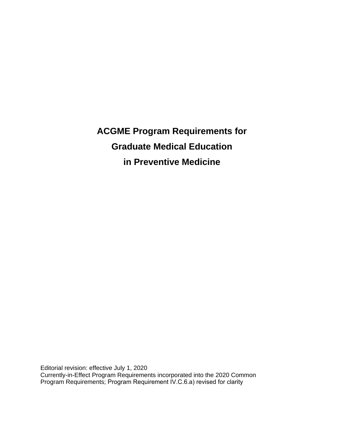**ACGME Program Requirements for Graduate Medical Education in Preventive Medicine**

Editorial revision: effective July 1, 2020 Currently-in-Effect Program Requirements incorporated into the 2020 Common Program Requirements; Program Requirement IV.C.6.a) revised for clarity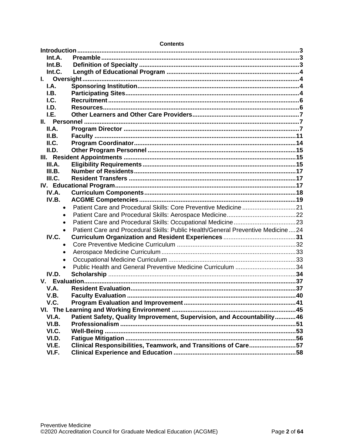| Int.A.<br>Int.B.<br>Int.C.<br>I. Oversight<br>I.A.<br>I.B.<br>l.C.<br>I.D.<br>I.E.<br>II.A.<br>II.B.<br>II.C.<br>II.D.<br>III.A.<br>III.B.<br>III.C.<br>IV.A.<br>IV.B.<br>Patient Care and Procedural Skills: Core Preventive Medicine 21<br>$\bullet$<br>$\bullet$<br>$\bullet$<br>Patient Care and Procedural Skills: Public Health/General Preventive Medicine24<br>$\bullet$<br>IV.C.<br>$\bullet$ |
|--------------------------------------------------------------------------------------------------------------------------------------------------------------------------------------------------------------------------------------------------------------------------------------------------------------------------------------------------------------------------------------------------------|
|                                                                                                                                                                                                                                                                                                                                                                                                        |
|                                                                                                                                                                                                                                                                                                                                                                                                        |
|                                                                                                                                                                                                                                                                                                                                                                                                        |
|                                                                                                                                                                                                                                                                                                                                                                                                        |
|                                                                                                                                                                                                                                                                                                                                                                                                        |
|                                                                                                                                                                                                                                                                                                                                                                                                        |
|                                                                                                                                                                                                                                                                                                                                                                                                        |
|                                                                                                                                                                                                                                                                                                                                                                                                        |
|                                                                                                                                                                                                                                                                                                                                                                                                        |
|                                                                                                                                                                                                                                                                                                                                                                                                        |
|                                                                                                                                                                                                                                                                                                                                                                                                        |
|                                                                                                                                                                                                                                                                                                                                                                                                        |
|                                                                                                                                                                                                                                                                                                                                                                                                        |
|                                                                                                                                                                                                                                                                                                                                                                                                        |
|                                                                                                                                                                                                                                                                                                                                                                                                        |
|                                                                                                                                                                                                                                                                                                                                                                                                        |
|                                                                                                                                                                                                                                                                                                                                                                                                        |
|                                                                                                                                                                                                                                                                                                                                                                                                        |
|                                                                                                                                                                                                                                                                                                                                                                                                        |
|                                                                                                                                                                                                                                                                                                                                                                                                        |
|                                                                                                                                                                                                                                                                                                                                                                                                        |
|                                                                                                                                                                                                                                                                                                                                                                                                        |
|                                                                                                                                                                                                                                                                                                                                                                                                        |
|                                                                                                                                                                                                                                                                                                                                                                                                        |
|                                                                                                                                                                                                                                                                                                                                                                                                        |
|                                                                                                                                                                                                                                                                                                                                                                                                        |
|                                                                                                                                                                                                                                                                                                                                                                                                        |
| $\bullet$                                                                                                                                                                                                                                                                                                                                                                                              |
| $\bullet$<br>Public Health and General Preventive Medicine Curriculum 34                                                                                                                                                                                                                                                                                                                               |
| IV.D.                                                                                                                                                                                                                                                                                                                                                                                                  |
|                                                                                                                                                                                                                                                                                                                                                                                                        |
| V.A.                                                                                                                                                                                                                                                                                                                                                                                                   |
| V.B.                                                                                                                                                                                                                                                                                                                                                                                                   |
| V.C.                                                                                                                                                                                                                                                                                                                                                                                                   |
|                                                                                                                                                                                                                                                                                                                                                                                                        |
| Patient Safety, Quality Improvement, Supervision, and Accountability 46<br>VI.A.                                                                                                                                                                                                                                                                                                                       |
| VI.B.                                                                                                                                                                                                                                                                                                                                                                                                  |
| VI.C.                                                                                                                                                                                                                                                                                                                                                                                                  |
| VI.D.                                                                                                                                                                                                                                                                                                                                                                                                  |
| Clinical Responsibilities, Teamwork, and Transitions of Care57<br>VI.E.                                                                                                                                                                                                                                                                                                                                |
| VI.F.                                                                                                                                                                                                                                                                                                                                                                                                  |

#### **Contents**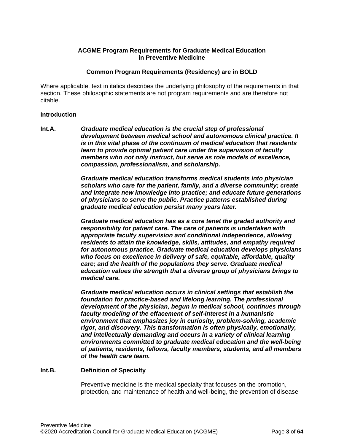#### **ACGME Program Requirements for Graduate Medical Education in Preventive Medicine**

#### **Common Program Requirements (Residency) are in BOLD**

Where applicable, text in italics describes the underlying philosophy of the requirements in that section. These philosophic statements are not program requirements and are therefore not citable.

#### <span id="page-2-0"></span>**Introduction**

<span id="page-2-1"></span>**Int.A.** *Graduate medical education is the crucial step of professional development between medical school and autonomous clinical practice. It is in this vital phase of the continuum of medical education that residents learn to provide optimal patient care under the supervision of faculty members who not only instruct, but serve as role models of excellence, compassion, professionalism, and scholarship.*

> *Graduate medical education transforms medical students into physician scholars who care for the patient, family, and a diverse community; create and integrate new knowledge into practice; and educate future generations of physicians to serve the public. Practice patterns established during graduate medical education persist many years later.*

> *Graduate medical education has as a core tenet the graded authority and responsibility for patient care. The care of patients is undertaken with appropriate faculty supervision and conditional independence, allowing residents to attain the knowledge, skills, attitudes, and empathy required for autonomous practice. Graduate medical education develops physicians who focus on excellence in delivery of safe, equitable, affordable, quality care; and the health of the populations they serve. Graduate medical education values the strength that a diverse group of physicians brings to medical care.*

> *Graduate medical education occurs in clinical settings that establish the foundation for practice-based and lifelong learning. The professional development of the physician, begun in medical school, continues through faculty modeling of the effacement of self-interest in a humanistic environment that emphasizes joy in curiosity, problem-solving, academic rigor, and discovery. This transformation is often physically, emotionally, and intellectually demanding and occurs in a variety of clinical learning environments committed to graduate medical education and the well-being of patients, residents, fellows, faculty members, students, and all members of the health care team.*

#### <span id="page-2-2"></span>**Int.B. Definition of Specialty**

Preventive medicine is the medical specialty that focuses on the promotion, protection, and maintenance of health and well-being, the prevention of disease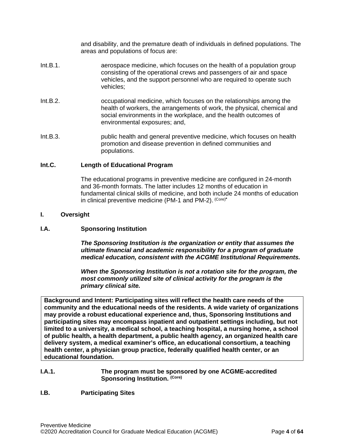and disability, and the premature death of individuals in defined populations. The areas and populations of focus are:

- Int.B.1. aerospace medicine, which focuses on the health of a population group consisting of the operational crews and passengers of air and space vehicles, and the support personnel who are required to operate such vehicles;
- Int.B.2. occupational medicine, which focuses on the relationships among the health of workers, the arrangements of work, the physical, chemical and social environments in the workplace, and the health outcomes of environmental exposures; and,
- Int.B.3. public health and general preventive medicine, which focuses on health promotion and disease prevention in defined communities and populations.

#### <span id="page-3-0"></span>**Int.C. Length of Educational Program**

The educational programs in preventive medicine are configured in 24-month and 36-month formats. The latter includes 12 months of education in fundamental clinical skills of medicine, and both include 24 months of education in clinical preventive medicine (PM-1 and PM-2). (Core)**\***

#### <span id="page-3-1"></span>**I. Oversight**

#### <span id="page-3-2"></span>**I.A. Sponsoring Institution**

*The Sponsoring Institution is the organization or entity that assumes the ultimate financial and academic responsibility for a program of graduate medical education, consistent with the ACGME Institutional Requirements.*

*When the Sponsoring Institution is not a rotation site for the program, the most commonly utilized site of clinical activity for the program is the primary clinical site.*

**Background and Intent: Participating sites will reflect the health care needs of the community and the educational needs of the residents. A wide variety of organizations may provide a robust educational experience and, thus, Sponsoring Institutions and participating sites may encompass inpatient and outpatient settings including, but not limited to a university, a medical school, a teaching hospital, a nursing home, a school of public health, a health department, a public health agency, an organized health care delivery system, a medical examiner's office, an educational consortium, a teaching health center, a physician group practice, federally qualified health center, or an educational foundation.**

#### **I.A.1. The program must be sponsored by one ACGME-accredited Sponsoring Institution. (Core)**

#### <span id="page-3-3"></span>**I.B. Participating Sites**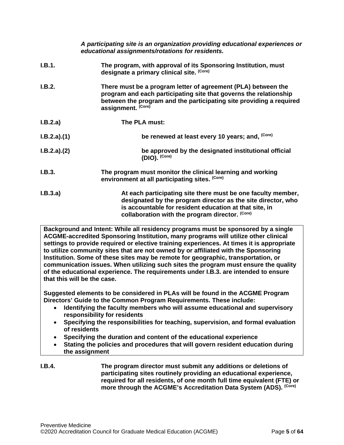|             | A participating site is an organization providing educational experiences or<br>educational assignments/rotations for residents.                                                                                                          |
|-------------|-------------------------------------------------------------------------------------------------------------------------------------------------------------------------------------------------------------------------------------------|
| I.B.1.      | The program, with approval of its Sponsoring Institution, must<br>designate a primary clinical site. (Core)                                                                                                                               |
| I.B.2.      | There must be a program letter of agreement (PLA) between the<br>program and each participating site that governs the relationship<br>between the program and the participating site providing a required<br>assignment. (Core)           |
| I.B.2.a)    | The PLA must:                                                                                                                                                                                                                             |
| I.B.2.a)(1) | be renewed at least every 10 years; and, (Core)                                                                                                                                                                                           |
| I.B.2.a)(2) | be approved by the designated institutional official<br>$(DIO)$ . $(Core)$                                                                                                                                                                |
| I.B.3.      | The program must monitor the clinical learning and working<br>environment at all participating sites. (Core)                                                                                                                              |
| I.B.3.a)    | At each participating site there must be one faculty member,<br>designated by the program director as the site director, who<br>is accountable for resident education at that site, in<br>collaboration with the program director. (Core) |

**Background and Intent: While all residency programs must be sponsored by a single ACGME-accredited Sponsoring Institution, many programs will utilize other clinical settings to provide required or elective training experiences. At times it is appropriate to utilize community sites that are not owned by or affiliated with the Sponsoring Institution. Some of these sites may be remote for geographic, transportation, or communication issues. When utilizing such sites the program must ensure the quality of the educational experience. The requirements under I.B.3. are intended to ensure that this will be the case.**

**Suggested elements to be considered in PLAs will be found in the ACGME Program Directors' Guide to the Common Program Requirements. These include:**

- **Identifying the faculty members who will assume educational and supervisory responsibility for residents**
- **Specifying the responsibilities for teaching, supervision, and formal evaluation of residents**
- **Specifying the duration and content of the educational experience**
- **Stating the policies and procedures that will govern resident education during the assignment**
- **I.B.4. The program director must submit any additions or deletions of participating sites routinely providing an educational experience, required for all residents, of one month full time equivalent (FTE) or more through the ACGME's Accreditation Data System (ADS). (Core)**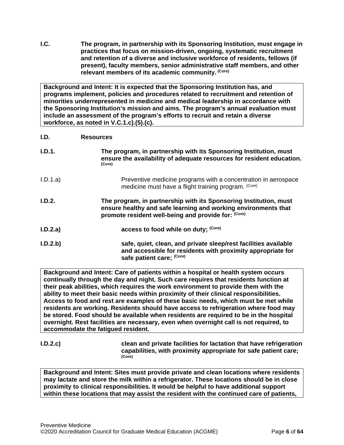<span id="page-5-0"></span>**I.C. The program, in partnership with its Sponsoring Institution, must engage in practices that focus on mission-driven, ongoing, systematic recruitment and retention of a diverse and inclusive workforce of residents, fellows (if present), faculty members, senior administrative staff members, and other relevant members of its academic community. (Core)**

**Background and Intent: It is expected that the Sponsoring Institution has, and programs implement, policies and procedures related to recruitment and retention of minorities underrepresented in medicine and medical leadership in accordance with the Sponsoring Institution's mission and aims. The program's annual evaluation must include an assessment of the program's efforts to recruit and retain a diverse workforce, as noted in V.C.1.c).(5).(c).**

#### <span id="page-5-1"></span>**I.D. Resources**

| I.D.1.   | The program, in partnership with its Sponsoring Institution, must<br>ensure the availability of adequate resources for resident education.<br>(Core)                                       |
|----------|--------------------------------------------------------------------------------------------------------------------------------------------------------------------------------------------|
| I.D.1.a) | Preventive medicine programs with a concentration in aerospace<br>medicine must have a flight training program. (Core)                                                                     |
| I.D.2.   | The program, in partnership with its Sponsoring Institution, must<br>ensure healthy and safe learning and working environments that<br>promote resident well-being and provide for: (Core) |
| I.D.2.a) | access to food while on duty; (Core)                                                                                                                                                       |
| I.D.2.b) | safe, quiet, clean, and private sleep/rest facilities available<br>and accessible for residents with proximity appropriate for<br>safe patient care; (Core)                                |

**Background and Intent: Care of patients within a hospital or health system occurs continually through the day and night. Such care requires that residents function at their peak abilities, which requires the work environment to provide them with the ability to meet their basic needs within proximity of their clinical responsibilities. Access to food and rest are examples of these basic needs, which must be met while residents are working. Residents should have access to refrigeration where food may be stored. Food should be available when residents are required to be in the hospital overnight. Rest facilities are necessary, even when overnight call is not required, to accommodate the fatigued resident.**

**I.D.2.c) clean and private facilities for lactation that have refrigeration capabilities, with proximity appropriate for safe patient care; (Core)**

**Background and Intent: Sites must provide private and clean locations where residents may lactate and store the milk within a refrigerator. These locations should be in close proximity to clinical responsibilities. It would be helpful to have additional support within these locations that may assist the resident with the continued care of patients,**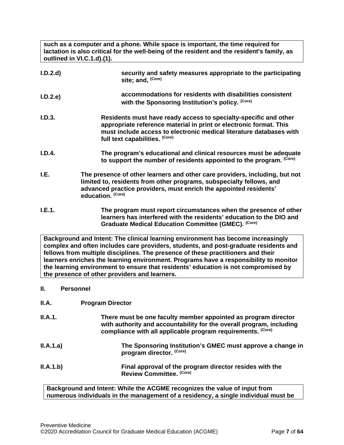**such as a computer and a phone. While space is important, the time required for lactation is also critical for the well-being of the resident and the resident's family, as outlined in VI.C.1.d).(1).**

| I.D.2.d | security and safety measures appropriate to the participating<br>site; and, (Core)                                                                                                                                                              |
|---------|-------------------------------------------------------------------------------------------------------------------------------------------------------------------------------------------------------------------------------------------------|
| I.D.2.e | accommodations for residents with disabilities consistent<br>with the Sponsoring Institution's policy. (Core)                                                                                                                                   |
| I.D.3.  | Residents must have ready access to specialty-specific and other<br>appropriate reference material in print or electronic format. This<br>must include access to electronic medical literature databases with<br>full text capabilities. (Core) |
| I.D.4.  | The program's educational and clinical resources must be adequate<br>to support the number of residents appointed to the program. (Core)                                                                                                        |
| I.E.    | The presence of other learners and other care providers, including, but not<br>limited to, residents from other programs, subspecialty fellows, and<br>advanced practice providers, must enrich the appointed residents'<br>education. (Core)   |
| I.E.1.  | The program must report circumstances when the presence of other<br>learners has interfered with the residents' education to the DIO and<br>Graduate Medical Education Committee (GMEC). (Core)                                                 |
|         | Background and Intent: The clinical learning environment has become increasingly                                                                                                                                                                |

<span id="page-6-0"></span>**complex and often includes care providers, students, and post-graduate residents and fellows from multiple disciplines. The presence of these practitioners and their learners enriches the learning environment. Programs have a responsibility to monitor the learning environment to ensure that residents' education is not compromised by the presence of other providers and learners.**

<span id="page-6-1"></span>**II. Personnel**

<span id="page-6-2"></span>

| <b>II.A.1.</b> | There must be one faculty member appointed as program director<br>with authority and accountability for the overall program, including<br>compliance with all applicable program requirements. (Core) |
|----------------|-------------------------------------------------------------------------------------------------------------------------------------------------------------------------------------------------------|
| II.A.1.a)      | The Sponsoring Institution's GMEC must approve a change in<br>program director. (Core)                                                                                                                |
| II.A.1.b)      | Final approval of the program director resides with the<br>Review Committee. (Core)                                                                                                                   |

**Background and Intent: While the ACGME recognizes the value of input from numerous individuals in the management of a residency, a single individual must be**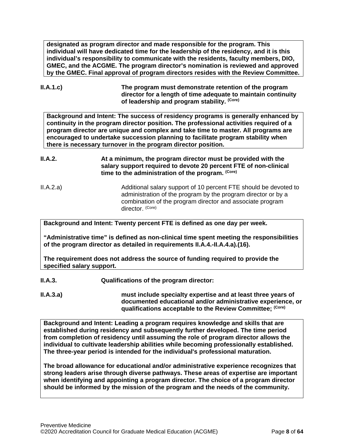**designated as program director and made responsible for the program. This individual will have dedicated time for the leadership of the residency, and it is this individual's responsibility to communicate with the residents, faculty members, DIO, GMEC, and the ACGME. The program director's nomination is reviewed and approved by the GMEC. Final approval of program directors resides with the Review Committee.**

**II.A.1.c) The program must demonstrate retention of the program director for a length of time adequate to maintain continuity of leadership and program stability. (Core)**

**Background and Intent: The success of residency programs is generally enhanced by continuity in the program director position. The professional activities required of a program director are unique and complex and take time to master. All programs are encouraged to undertake succession planning to facilitate program stability when there is necessary turnover in the program director position.**

- **II.A.2. At a minimum, the program director must be provided with the salary support required to devote 20 percent FTE of non-clinical time to the administration of the program. (Core)**
- II.A.2.a) Additional salary support of 10 percent FTE should be devoted to administration of the program by the program director or by a combination of the program director and associate program director. (Core)

**Background and Intent: Twenty percent FTE is defined as one day per week.** 

**"Administrative time" is defined as non-clinical time spent meeting the responsibilities of the program director as detailed in requirements II.A.4.-II.A.4.a).(16).** 

**The requirement does not address the source of funding required to provide the specified salary support.**

**II.A.3. Qualifications of the program director:**

**II.A.3.a) must include specialty expertise and at least three years of documented educational and/or administrative experience, or qualifications acceptable to the Review Committee; (Core)**

**Background and Intent: Leading a program requires knowledge and skills that are established during residency and subsequently further developed. The time period from completion of residency until assuming the role of program director allows the individual to cultivate leadership abilities while becoming professionally established. The three-year period is intended for the individual's professional maturation.**

**The broad allowance for educational and/or administrative experience recognizes that strong leaders arise through diverse pathways. These areas of expertise are important when identifying and appointing a program director. The choice of a program director should be informed by the mission of the program and the needs of the community.**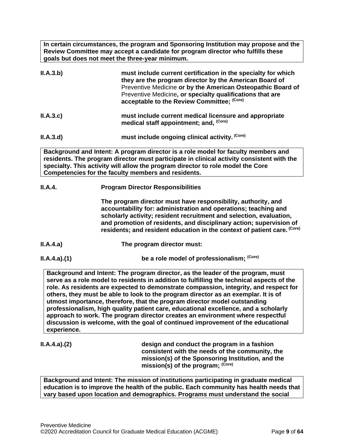**In certain circumstances, the program and Sponsoring Institution may propose and the Review Committee may accept a candidate for program director who fulfills these goals but does not meet the three-year minimum.**

| II.A.3.b) | must include current certification in the specialty for which<br>they are the program director by the American Board of<br>Preventive Medicine or by the American Osteopathic Board of<br>Preventive Medicine, or specialty qualifications that are<br>acceptable to the Review Committee; (Core) |
|-----------|---------------------------------------------------------------------------------------------------------------------------------------------------------------------------------------------------------------------------------------------------------------------------------------------------|
| II.A.3.c  | must include current medical licensure and appropriate<br>medical staff appointment; and, (Core)                                                                                                                                                                                                  |
| II.A.3.d) | must include ongoing clinical activity. (Core)                                                                                                                                                                                                                                                    |
|           |                                                                                                                                                                                                                                                                                                   |

**Background and Intent: A program director is a role model for faculty members and residents. The program director must participate in clinical activity consistent with the specialty. This activity will allow the program director to role model the Core Competencies for the faculty members and residents.**

## **II.A.4. Program Director Responsibilities**

**The program director must have responsibility, authority, and accountability for: administration and operations; teaching and scholarly activity; resident recruitment and selection, evaluation, and promotion of residents, and disciplinary action; supervision of residents; and resident education in the context of patient care. (Core)**

- **II.A.4.a) The program director must:**
- 

**II.A.4.a).(1) be a role model of professionalism;** <sup>(Core)</sup>

**Background and Intent: The program director, as the leader of the program, must serve as a role model to residents in addition to fulfilling the technical aspects of the role. As residents are expected to demonstrate compassion, integrity, and respect for others, they must be able to look to the program director as an exemplar. It is of utmost importance, therefore, that the program director model outstanding professionalism, high quality patient care, educational excellence, and a scholarly approach to work. The program director creates an environment where respectful discussion is welcome, with the goal of continued improvement of the educational experience.**

**II.A.4.a).(2) design and conduct the program in a fashion consistent with the needs of the community, the mission(s) of the Sponsoring Institution, and the mission(s) of the program; (Core)**

**Background and Intent: The mission of institutions participating in graduate medical education is to improve the health of the public. Each community has health needs that vary based upon location and demographics. Programs must understand the social**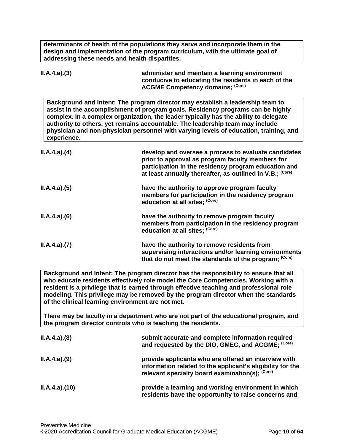**determinants of health of the populations they serve and incorporate them in the design and implementation of the program curriculum, with the ultimate goal of addressing these needs and health disparities.**

| ILA.4.a)(3) | administer and maintain a learning environment<br>conducive to educating the residents in each of the<br><b>ACGME Competency domains; (Core)</b>                                                                                                                                                                                                                                                                                    |
|-------------|-------------------------------------------------------------------------------------------------------------------------------------------------------------------------------------------------------------------------------------------------------------------------------------------------------------------------------------------------------------------------------------------------------------------------------------|
| experience. | Background and Intent: The program director may establish a leadership team to<br>assist in the accomplishment of program goals. Residency programs can be highly<br>complex. In a complex organization, the leader typically has the ability to delegate<br>authority to others, yet remains accountable. The leadership team may include<br>physician and non-physician personnel with varying levels of education, training, and |
| ILA.4.a)(4) | develop and oversee a process to evaluate candidates<br>prior to approval as program faculty members for<br>participation in the residency program education and<br>at least annually thereafter, as outlined in V.B.; (Core)                                                                                                                                                                                                       |
| ILA.4.a)(5) | have the authority to approve program faculty<br>members for participation in the residency program<br>education at all sites; (Core)                                                                                                                                                                                                                                                                                               |
| ILA.4.a)(6) | have the authority to remove program faculty<br>members from participation in the residency program<br>education at all sites; (Core)                                                                                                                                                                                                                                                                                               |
| ILA.4.a)(7) | have the authority to remove residents from<br>supervising interactions and/or learning environments<br>that do not meet the standards of the program; (Core)                                                                                                                                                                                                                                                                       |

**Background and Intent: The program director has the responsibility to ensure that all who educate residents effectively role model the Core Competencies. Working with a resident is a privilege that is earned through effective teaching and professional role modeling. This privilege may be removed by the program director when the standards of the clinical learning environment are not met.**

**There may be faculty in a department who are not part of the educational program, and the program director controls who is teaching the residents.**

| ILA.4.a)(8)  | submit accurate and complete information required<br>and requested by the DIO, GMEC, and ACGME; (Core)                                                                |
|--------------|-----------------------------------------------------------------------------------------------------------------------------------------------------------------------|
| ILA.4.a)(9)  | provide applicants who are offered an interview with<br>information related to the applicant's eligibility for the<br>relevant specialty board examination(s); (Core) |
| ILA.4.a)(10) | provide a learning and working environment in which<br>residents have the opportunity to raise concerns and                                                           |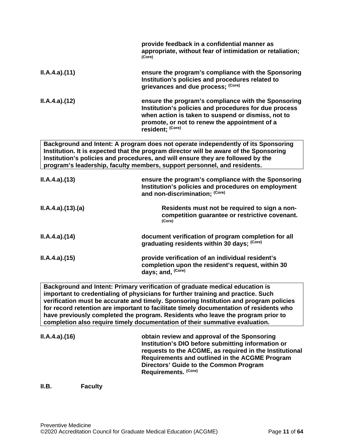|                 | provide feedback in a confidential manner as<br>appropriate, without fear of intimidation or retaliation;<br>(Core)                                                                                                                                                                                                                       |
|-----------------|-------------------------------------------------------------------------------------------------------------------------------------------------------------------------------------------------------------------------------------------------------------------------------------------------------------------------------------------|
| ILA.4.a)(11)    | ensure the program's compliance with the Sponsoring<br>Institution's policies and procedures related to<br>grievances and due process; (Core)                                                                                                                                                                                             |
| ILA.4.a)(12)    | ensure the program's compliance with the Sponsoring<br>Institution's policies and procedures for due process<br>when action is taken to suspend or dismiss, not to<br>promote, or not to renew the appointment of a<br>resident; (Core)                                                                                                   |
|                 | Background and Intent: A program does not operate independently of its Sponsoring<br>Institution. It is expected that the program director will be aware of the Sponsoring<br>Institution's policies and procedures, and will ensure they are followed by the<br>program's leadership, faculty members, support personnel, and residents. |
| ILA.4.a)(13)    | ensure the program's compliance with the Sponsoring<br>Institution's policies and procedures on employment<br>and non-discrimination; (Core)                                                                                                                                                                                              |
| ILA.4.a)(13)(a) | Residents must not be required to sign a non-<br>competition guarantee or restrictive covenant.<br>(Core)                                                                                                                                                                                                                                 |
| ILA.4.a)(14)    | document verification of program completion for all<br>graduating residents within 30 days; (Core)                                                                                                                                                                                                                                        |
| ILA.4.a)(15)    | provide verification of an individual resident's<br>completion upon the resident's request, within 30<br>days; and, (Core)                                                                                                                                                                                                                |
|                 | Background and Intent: Primary verification of graduate medical education is<br>important to credentialing of physicians for further training and practice. Such                                                                                                                                                                          |

**verification must be accurate and timely. Sponsoring Institution and program policies for record retention are important to facilitate timely documentation of residents who have previously completed the program. Residents who leave the program prior to completion also require timely documentation of their summative evaluation.**

**II.A.4.a).(16) obtain review and approval of the Sponsoring Institution's DIO before submitting information or requests to the ACGME, as required in the Institutional Requirements and outlined in the ACGME Program Directors' Guide to the Common Program Requirements. (Core)**

<span id="page-10-0"></span>**II.B. Faculty**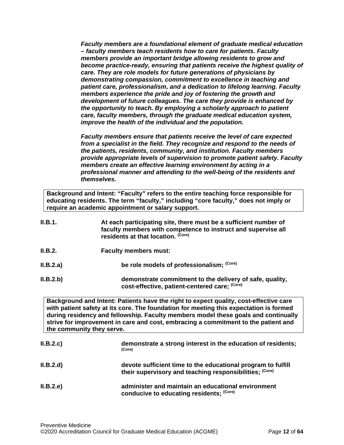*Faculty members are a foundational element of graduate medical education – faculty members teach residents how to care for patients. Faculty members provide an important bridge allowing residents to grow and become practice-ready, ensuring that patients receive the highest quality of care. They are role models for future generations of physicians by demonstrating compassion, commitment to excellence in teaching and patient care, professionalism, and a dedication to lifelong learning. Faculty members experience the pride and joy of fostering the growth and development of future colleagues. The care they provide is enhanced by the opportunity to teach. By employing a scholarly approach to patient care, faculty members, through the graduate medical education system, improve the health of the individual and the population.*

*Faculty members ensure that patients receive the level of care expected from a specialist in the field. They recognize and respond to the needs of the patients, residents, community, and institution. Faculty members provide appropriate levels of supervision to promote patient safety. Faculty members create an effective learning environment by acting in a professional manner and attending to the well-being of the residents and themselves.*

**Background and Intent: "Faculty" refers to the entire teaching force responsible for educating residents. The term "faculty," including "core faculty," does not imply or require an academic appointment or salary support.**

| II.B.1.   | At each participating site, there must be a sufficient number of<br>faculty members with competence to instruct and supervise all<br>residents at that location. (Core)                                                                                                                                                                                                                  |
|-----------|------------------------------------------------------------------------------------------------------------------------------------------------------------------------------------------------------------------------------------------------------------------------------------------------------------------------------------------------------------------------------------------|
| II.B.2.   | <b>Faculty members must:</b>                                                                                                                                                                                                                                                                                                                                                             |
| II.B.2.a) | be role models of professionalism; (Core)                                                                                                                                                                                                                                                                                                                                                |
| II.B.2.b) | demonstrate commitment to the delivery of safe, quality,<br>cost-effective, patient-centered care; (Core)                                                                                                                                                                                                                                                                                |
|           | Background and Intent: Patients have the right to expect quality, cost-effective care<br>with patient safety at its core. The foundation for meeting this expectation is formed<br>during residency and fellowship. Faculty members model these goals and continually<br>strive for improvement in care and cost, embracing a commitment to the patient and<br>the community they serve. |
| II.B.2.c  | demonstrate a strong interest in the education of residents;<br>(Core)                                                                                                                                                                                                                                                                                                                   |

| II.B.2.d) | devote sufficient time to the educational program to fulfill<br>their supervisory and teaching responsibilities; (Core) |
|-----------|-------------------------------------------------------------------------------------------------------------------------|
| II.B.2.e  | administer and maintain an educational environment<br>conducive to educating residents; (Core)                          |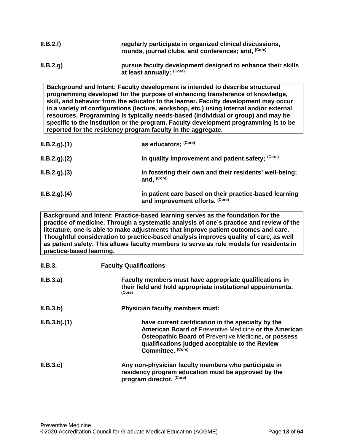| II.B.2.f) | regularly participate in organized clinical discussions,<br>rounds, journal clubs, and conferences; and, (Core) |
|-----------|-----------------------------------------------------------------------------------------------------------------|
| II.B.2.g. | pursue faculty development designed to enhance their skills<br>at least annually: (Core)                        |

**Background and Intent: Faculty development is intended to describe structured programming developed for the purpose of enhancing transference of knowledge, skill, and behavior from the educator to the learner. Faculty development may occur in a variety of configurations (lecture, workshop, etc.) using internal and/or external resources. Programming is typically needs-based (individual or group) and may be specific to the institution or the program. Faculty development programming is to be reported for the residency program faculty in the aggregate.**

| ILB.2.g. (1) | as educators; (Core)                                                                      |
|--------------|-------------------------------------------------------------------------------------------|
| ILB.2.g. (2) | in quality improvement and patient safety; (Core)                                         |
| ILB.2.g. (3) | in fostering their own and their residents' well-being;<br>and. <sup>(Core)</sup>         |
| ILB.2.g. (4) | in patient care based on their practice-based learning<br>and improvement efforts. (Core) |

**Background and Intent: Practice-based learning serves as the foundation for the practice of medicine. Through a systematic analysis of one's practice and review of the literature, one is able to make adjustments that improve patient outcomes and care. Thoughtful consideration to practice-based analysis improves quality of care, as well as patient safety. This allows faculty members to serve as role models for residents in practice-based learning.**

| II.B.3.     | <b>Faculty Qualifications</b>                                                                                                                                                                                                                            |  |
|-------------|----------------------------------------------------------------------------------------------------------------------------------------------------------------------------------------------------------------------------------------------------------|--|
| II.B.3.a)   | Faculty members must have appropriate qualifications in<br>their field and hold appropriate institutional appointments.<br>(Core)                                                                                                                        |  |
| II.B.3.b)   | <b>Physician faculty members must:</b>                                                                                                                                                                                                                   |  |
| ILB.3.b)(1) | have current certification in the specialty by the<br><b>American Board of Preventive Medicine or the American</b><br><b>Osteopathic Board of Preventive Medicine, or possess</b><br>qualifications judged acceptable to the Review<br>Committee. (Core) |  |
| II.B.3.c    | Any non-physician faculty members who participate in<br>residency program education must be approved by the<br>program director. (Core)                                                                                                                  |  |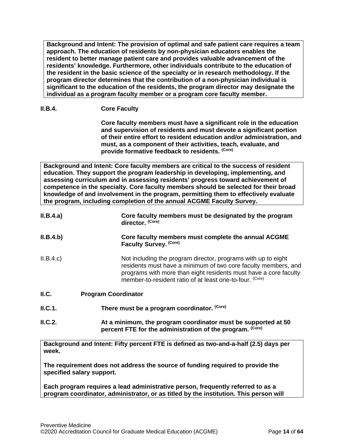**Background and Intent: The provision of optimal and safe patient care requires a team approach. The education of residents by non-physician educators enables the resident to better manage patient care and provides valuable advancement of the residents' knowledge. Furthermore, other individuals contribute to the education of the resident in the basic science of the specialty or in research methodology. If the program director determines that the contribution of a non-physician individual is significant to the education of the residents, the program director may designate the individual as a program faculty member or a program core faculty member.**

### **II.B.4. Core Faculty**

**Core faculty members must have a significant role in the education and supervision of residents and must devote a significant portion of their entire effort to resident education and/or administration, and must, as a component of their activities, teach, evaluate, and provide formative feedback to residents. (Core)**

**Background and Intent: Core faculty members are critical to the success of resident education. They support the program leadership in developing, implementing, and assessing curriculum and in assessing residents' progress toward achievement of competence in the specialty. Core faculty members should be selected for their broad knowledge of and involvement in the program, permitting them to effectively evaluate the program, including completion of the annual ACGME Faculty Survey.**

| II.B.4.a) | Core faculty members must be designated by the program<br>director. (Core)                                                                                                                                                                                      |  |
|-----------|-----------------------------------------------------------------------------------------------------------------------------------------------------------------------------------------------------------------------------------------------------------------|--|
| II.B.4.b) | Core faculty members must complete the annual ACGME<br>Faculty Survey. (Core)                                                                                                                                                                                   |  |
| II.B.4.c  | Not including the program director, programs with up to eight<br>residents must have a minimum of two core faculty members, and<br>programs with more than eight residents must have a core faculty<br>member-to-resident ratio of at least one-to-four. (Core) |  |
| II.C.     | <b>Program Coordinator</b>                                                                                                                                                                                                                                      |  |
| ILC.1.    | There must be a program coordinator. (Core)                                                                                                                                                                                                                     |  |
| II.C.2.   | At a minimum, the program coordinator must be supported at 50<br>percent FTE for the administration of the program. (Core)                                                                                                                                      |  |

<span id="page-13-0"></span>**Background and Intent: Fifty percent FTE is defined as two-and-a-half (2.5) days per week.** 

**The requirement does not address the source of funding required to provide the specified salary support.**

**Each program requires a lead administrative person, frequently referred to as a program coordinator, administrator, or as titled by the institution. This person will**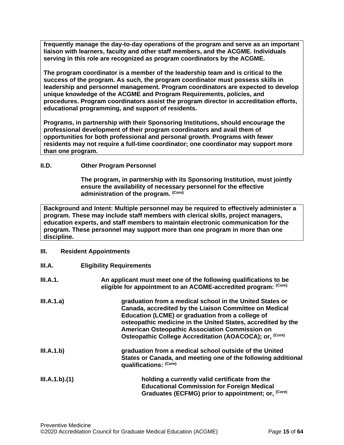**frequently manage the day-to-day operations of the program and serve as an important liaison with learners, faculty and other staff members, and the ACGME. Individuals serving in this role are recognized as program coordinators by the ACGME.**

**The program coordinator is a member of the leadership team and is critical to the success of the program. As such, the program coordinator must possess skills in leadership and personnel management. Program coordinators are expected to develop unique knowledge of the ACGME and Program Requirements, policies, and procedures. Program coordinators assist the program director in accreditation efforts, educational programming, and support of residents.**

**Programs, in partnership with their Sponsoring Institutions, should encourage the professional development of their program coordinators and avail them of opportunities for both professional and personal growth. Programs with fewer residents may not require a full-time coordinator; one coordinator may support more than one program.**

#### <span id="page-14-0"></span>**II.D. Other Program Personnel**

**The program, in partnership with its Sponsoring Institution***,* **must jointly ensure the availability of necessary personnel for the effective administration of the program. (Core)**

**Background and Intent: Multiple personnel may be required to effectively administer a program. These may include staff members with clerical skills, project managers, education experts, and staff members to maintain electronic communication for the program. These personnel may support more than one program in more than one discipline.**

#### <span id="page-14-1"></span>**III. Resident Appointments**

<span id="page-14-2"></span>

| III.A.        | <b>Eligibility Requirements</b>                                                                                                                                                                                                                                                                                                                                |
|---------------|----------------------------------------------------------------------------------------------------------------------------------------------------------------------------------------------------------------------------------------------------------------------------------------------------------------------------------------------------------------|
| III.A.1.      | An applicant must meet one of the following qualifications to be<br>eligible for appointment to an ACGME-accredited program: (Core)                                                                                                                                                                                                                            |
| III.A.1.a)    | graduation from a medical school in the United States or<br>Canada, accredited by the Liaison Committee on Medical<br>Education (LCME) or graduation from a college of<br>osteopathic medicine in the United States, accredited by the<br>American Osteopathic Association Commission on<br>Osteopathic College Accreditation (AOACOCA); or, <sup>(Core)</sup> |
| III.A.1.b)    | graduation from a medical school outside of the United<br>States or Canada, and meeting one of the following additional<br>qualifications: (Core)                                                                                                                                                                                                              |
| III.A.1.b)(1) | holding a currently valid certificate from the<br><b>Educational Commission for Foreign Medical</b><br>Graduates (ECFMG) prior to appointment; or, (Core)                                                                                                                                                                                                      |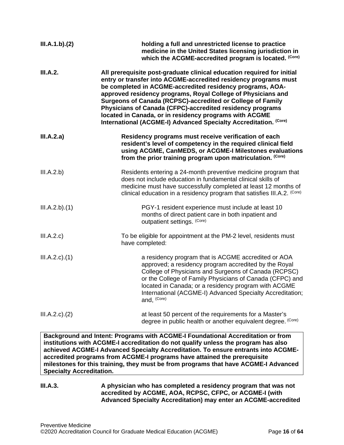| III.A.1.b)(2)       | holding a full and unrestricted license to practice<br>medicine in the United States licensing jurisdiction in<br>which the ACGME-accredited program is located. (Core)                                                                                                                                                                                                                                                                                                                                                         |  |
|---------------------|---------------------------------------------------------------------------------------------------------------------------------------------------------------------------------------------------------------------------------------------------------------------------------------------------------------------------------------------------------------------------------------------------------------------------------------------------------------------------------------------------------------------------------|--|
| III.A.2.            | All prerequisite post-graduate clinical education required for initial<br>entry or transfer into ACGME-accredited residency programs must<br>be completed in ACGME-accredited residency programs, AOA-<br>approved residency programs, Royal College of Physicians and<br>Surgeons of Canada (RCPSC)-accredited or College of Family<br>Physicians of Canada (CFPC)-accredited residency programs<br>located in Canada, or in residency programs with ACGME<br>International (ACGME-I) Advanced Specialty Accreditation. (Core) |  |
| III.A.2.a)          | Residency programs must receive verification of each<br>resident's level of competency in the required clinical field<br>using ACGME, CanMEDS, or ACGME-I Milestones evaluations<br>from the prior training program upon matriculation. (Core)                                                                                                                                                                                                                                                                                  |  |
| III.A.2.b)          | Residents entering a 24-month preventive medicine program that<br>does not include education in fundamental clinical skills of<br>medicine must have successfully completed at least 12 months of<br>clinical education in a residency program that satisfies III.A.2. (Core)                                                                                                                                                                                                                                                   |  |
| III.A.2.b)(1)       | PGY-1 resident experience must include at least 10<br>months of direct patient care in both inpatient and<br>outpatient settings. (Core)                                                                                                                                                                                                                                                                                                                                                                                        |  |
| III.A.2.c)          | To be eligible for appointment at the PM-2 level, residents must<br>have completed:                                                                                                                                                                                                                                                                                                                                                                                                                                             |  |
| $III.A.2.c$ . $(1)$ | a residency program that is ACGME accredited or AOA<br>approved; a residency program accredited by the Royal<br>College of Physicians and Surgeons of Canada (RCPSC)<br>or the College of Family Physicians of Canada (CFPC) and<br>located in Canada; or a residency program with ACGME<br>International (ACGME-I) Advanced Specialty Accreditation;<br>and, (Core)                                                                                                                                                            |  |
| $III.A.2.c$ . $(2)$ | at least 50 percent of the requirements for a Master's<br>degree in public health or another equivalent degree. (Core)                                                                                                                                                                                                                                                                                                                                                                                                          |  |

**Background and Intent: Programs with ACGME-I Foundational Accreditation or from institutions with ACGME-I accreditation do not qualify unless the program has also achieved ACGME-I Advanced Specialty Accreditation. To ensure entrants into ACGMEaccredited programs from ACGME-I programs have attained the prerequisite milestones for this training, they must be from programs that have ACGME-I Advanced Specialty Accreditation.**

#### **III.A.3. A physician who has completed a residency program that was not accredited by ACGME, AOA, RCPSC, CFPC, or ACGME-I (with Advanced Specialty Accreditation) may enter an ACGME-accredited**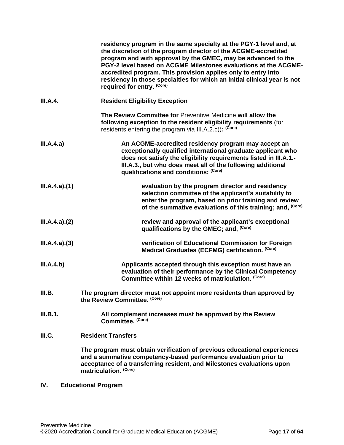|                 | residency program in the same specialty at the PGY-1 level and, at<br>the discretion of the program director of the ACGME-accredited<br>program and with approval by the GMEC, may be advanced to the<br>PGY-2 level based on ACGME Milestones evaluations at the ACGME-<br>accredited program. This provision applies only to entry into<br>residency in those specialties for which an initial clinical year is not<br>required for entry. (Core) |  |
|-----------------|-----------------------------------------------------------------------------------------------------------------------------------------------------------------------------------------------------------------------------------------------------------------------------------------------------------------------------------------------------------------------------------------------------------------------------------------------------|--|
| <b>III.A.4.</b> | <b>Resident Eligibility Exception</b>                                                                                                                                                                                                                                                                                                                                                                                                               |  |
|                 | The Review Committee for Preventive Medicine will allow the<br>following exception to the resident eligibility requirements (for<br>residents entering the program via III.A.2.c)): (Core)                                                                                                                                                                                                                                                          |  |
| III.A.4.a)      | An ACGME-accredited residency program may accept an<br>exceptionally qualified international graduate applicant who<br>does not satisfy the eligibility requirements listed in III.A.1.-<br>III.A.3., but who does meet all of the following additional<br>qualifications and conditions: (Core)                                                                                                                                                    |  |
| III.A.4.a)(1)   | evaluation by the program director and residency<br>selection committee of the applicant's suitability to<br>enter the program, based on prior training and review<br>of the summative evaluations of this training; and, (Core)                                                                                                                                                                                                                    |  |
| III.A.4.a)(2)   | review and approval of the applicant's exceptional<br>qualifications by the GMEC; and, (Core)                                                                                                                                                                                                                                                                                                                                                       |  |
| III.A.4.a)(3)   | verification of Educational Commission for Foreign<br>Medical Graduates (ECFMG) certification. (Core)                                                                                                                                                                                                                                                                                                                                               |  |
| III.A.4.b)      | Applicants accepted through this exception must have an<br>evaluation of their performance by the Clinical Competency<br>Committee within 12 weeks of matriculation. (Core)                                                                                                                                                                                                                                                                         |  |
| III.B.          | The program director must not appoint more residents than approved by<br>the Review Committee. (Core)                                                                                                                                                                                                                                                                                                                                               |  |
| III.B.1.        | All complement increases must be approved by the Review<br>Committee. (Core)                                                                                                                                                                                                                                                                                                                                                                        |  |
| III.C.          | <b>Resident Transfers</b>                                                                                                                                                                                                                                                                                                                                                                                                                           |  |
|                 | The program must obtain verification of previous educational experiences<br>and a summative competency-based performance evaluation prior to<br>acceptance of a transferring resident, and Milestones evaluations upon<br>matriculation. (Core)                                                                                                                                                                                                     |  |

# <span id="page-16-2"></span><span id="page-16-1"></span><span id="page-16-0"></span>**IV. Educational Program**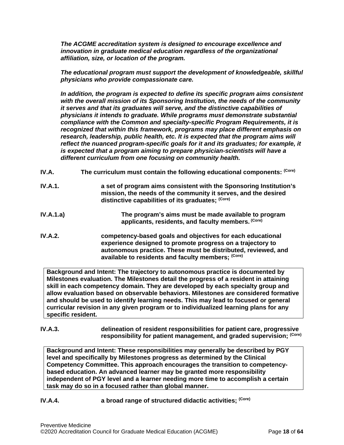*The ACGME accreditation system is designed to encourage excellence and innovation in graduate medical education regardless of the organizational affiliation, size, or location of the program.*

*The educational program must support the development of knowledgeable, skillful physicians who provide compassionate care.*

*In addition, the program is expected to define its specific program aims consistent with the overall mission of its Sponsoring Institution, the needs of the community it serves and that its graduates will serve, and the distinctive capabilities of physicians it intends to graduate. While programs must demonstrate substantial compliance with the Common and specialty-specific Program Requirements, it is recognized that within this framework, programs may place different emphasis on research, leadership, public health, etc. It is expected that the program aims will reflect the nuanced program-specific goals for it and its graduates; for example, it is expected that a program aiming to prepare physician-scientists will have a different curriculum from one focusing on community health.*

- <span id="page-17-0"></span>**IV.A. The curriculum must contain the following educational components: (Core)**
- **IV.A.1. a set of program aims consistent with the Sponsoring Institution's mission, the needs of the community it serves, and the desired distinctive capabilities of its graduates; (Core)**
- **IV.A.1.a) The program's aims must be made available to program applicants, residents, and faculty members. (Core)**
- **IV.A.2. competency-based goals and objectives for each educational experience designed to promote progress on a trajectory to autonomous practice. These must be distributed, reviewed, and available to residents and faculty members; (Core)**

**Background and Intent: The trajectory to autonomous practice is documented by Milestones evaluation. The Milestones detail the progress of a resident in attaining skill in each competency domain. They are developed by each specialty group and allow evaluation based on observable behaviors. Milestones are considered formative and should be used to identify learning needs. This may lead to focused or general curricular revision in any given program or to individualized learning plans for any specific resident.**

**IV.A.3. delineation of resident responsibilities for patient care, progressive responsibility for patient management, and graded supervision; (Core)**

**Background and Intent: These responsibilities may generally be described by PGY level and specifically by Milestones progress as determined by the Clinical Competency Committee. This approach encourages the transition to competencybased education. An advanced learner may be granted more responsibility independent of PGY level and a learner needing more time to accomplish a certain task may do so in a focused rather than global manner.**

**IV.A.4. a broad range of structured didactic activities; (Core)**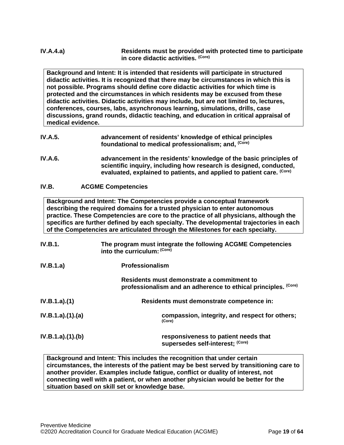**Background and Intent: It is intended that residents will participate in structured didactic activities. It is recognized that there may be circumstances in which this is not possible. Programs should define core didactic activities for which time is protected and the circumstances in which residents may be excused from these didactic activities. Didactic activities may include, but are not limited to, lectures, conferences, courses, labs, asynchronous learning, simulations, drills, case discussions, grand rounds, didactic teaching, and education in critical appraisal of medical evidence.**

- **IV.A.5. advancement of residents' knowledge of ethical principles foundational to medical professionalism; and, (Core)**
- **IV.A.6. advancement in the residents' knowledge of the basic principles of scientific inquiry, including how research is designed, conducted, evaluated, explained to patients, and applied to patient care. (Core)**

## <span id="page-18-0"></span>**IV.B. ACGME Competencies**

**Background and Intent: The Competencies provide a conceptual framework describing the required domains for a trusted physician to enter autonomous practice. These Competencies are core to the practice of all physicians, although the specifics are further defined by each specialty. The developmental trajectories in each of the Competencies are articulated through the Milestones for each specialty.**

| <b>IV.B.1.</b>  | The program must integrate the following ACGME Competencies<br>into the curriculum: (Core)                   |
|-----------------|--------------------------------------------------------------------------------------------------------------|
| IV.B.1.a)       | <b>Professionalism</b>                                                                                       |
|                 | Residents must demonstrate a commitment to<br>professionalism and an adherence to ethical principles. (Core) |
| IV.B.1.a)(1)    | Residents must demonstrate competence in:                                                                    |
| IV.B.1.a)(1)(a) | compassion, integrity, and respect for others;<br>(Core)                                                     |
| IV.B.1.a)(1)(b) | responsiveness to patient needs that<br>supersedes self-interest; (Core)                                     |

**Background and Intent: This includes the recognition that under certain circumstances, the interests of the patient may be best served by transitioning care to another provider. Examples include fatigue, conflict or duality of interest, not connecting well with a patient, or when another physician would be better for the situation based on skill set or knowledge base.**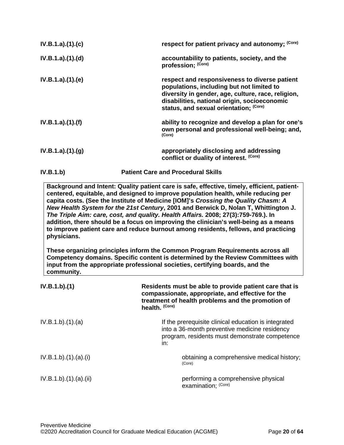| IV.B.1.b)       | <b>Patient Care and Procedural Skills</b>                                                                                                                                                                                                  |  |
|-----------------|--------------------------------------------------------------------------------------------------------------------------------------------------------------------------------------------------------------------------------------------|--|
| IV.B.1.a)(1)(g) | appropriately disclosing and addressing<br>conflict or duality of interest. (Core)                                                                                                                                                         |  |
| IV.B.1.a)(1)(f) | ability to recognize and develop a plan for one's<br>own personal and professional well-being; and,<br>(Core)                                                                                                                              |  |
| IV.B.1.a)(1)(e) | respect and responsiveness to diverse patient<br>populations, including but not limited to<br>diversity in gender, age, culture, race, religion,<br>disabilities, national origin, socioeconomic<br>status, and sexual orientation; (Core) |  |
| IV.B.1.a)(1)(d) | accountability to patients, society, and the<br>profession; (Core)                                                                                                                                                                         |  |
| IV.B.1.a)(1)(c) | respect for patient privacy and autonomy; (Core)                                                                                                                                                                                           |  |

**Background and Intent: Quality patient care is safe, effective, timely, efficient, patientcentered, equitable, and designed to improve population health, while reducing per capita costs. (See the Institute of Medicine [IOM]'s** *Crossing the Quality Chasm: A New Health System for the 21st Century***, 2001 and Berwick D, Nolan T, Whittington J.**  *The Triple Aim: care, cost, and quality. Health Affairs.* **2008; 27(3):759-769.). In addition, there should be a focus on improving the clinician's well-being as a means to improve patient care and reduce burnout among residents, fellows, and practicing physicians.**

**These organizing principles inform the Common Program Requirements across all Competency domains. Specific content is determined by the Review Committees with input from the appropriate professional societies, certifying boards, and the community.**

| IV.B.1.b)(1)        | Residents must be able to provide patient care that is<br>compassionate, appropriate, and effective for the<br>treatment of health problems and the promotion of<br>health. (Core) |
|---------------------|------------------------------------------------------------------------------------------------------------------------------------------------------------------------------------|
| IV.B.1.b)(1)(a)     | If the prerequisite clinical education is integrated<br>into a 36-month preventive medicine residency<br>program, residents must demonstrate competence<br>in:                     |
| IV.B.1.b)(1)(a)(i)  | obtaining a comprehensive medical history;<br>(Core)                                                                                                                               |
| IV.B.1.b)(1)(a)(ii) | performing a comprehensive physical<br>examination; (Core)                                                                                                                         |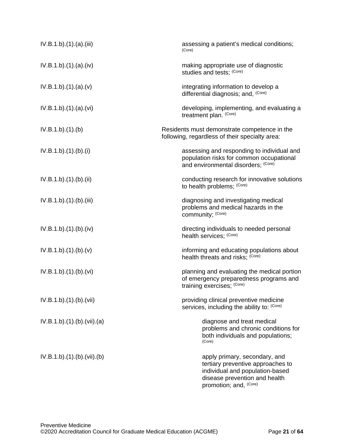<span id="page-20-0"></span>

| IV.B.1.b)(1)(a)(iii)    | assessing a patient's medical conditions;<br>(Core)                                                                                                              |
|-------------------------|------------------------------------------------------------------------------------------------------------------------------------------------------------------|
| IV.B.1.b)(1)(a)(iv)     | making appropriate use of diagnostic<br>studies and tests; (Core)                                                                                                |
| IV.B.1.b)(1)(a)(v)      | integrating information to develop a<br>differential diagnosis; and, (Core)                                                                                      |
| IV.B.1.b)(1)(a)(vi)     | developing, implementing, and evaluating a<br>treatment plan. (Core)                                                                                             |
| IV.B.1.b)(1)(b)         | Residents must demonstrate competence in the<br>following, regardless of their specialty area:                                                                   |
| IV.B.1.b)(1)(b)(i)      | assessing and responding to individual and<br>population risks for common occupational<br>and environmental disorders; (Core)                                    |
| IV.B.1.b).(1).(b).(ii)  | conducting research for innovative solutions<br>to health problems; (Core)                                                                                       |
| IV.B.1.b)(1)(b)(iii)    | diagnosing and investigating medical<br>problems and medical hazards in the<br>community; (Core)                                                                 |
| IV.B.1.b)(1)(b)(iv)     | directing individuals to needed personal<br>health services; (Core)                                                                                              |
| IV.B.1.b)(1)(b)(v)      | informing and educating populations about<br>health threats and risks; (Core)                                                                                    |
| IV.B.1.b)(1)(b)(vi)     | planning and evaluating the medical portion<br>of emergency preparedness programs and<br>training exercises; (Core)                                              |
| IV.B.1.b).(1).(b).(Vii) | providing clinical preventive medicine<br>services, including the ability to: (Core)                                                                             |
| IV.B.1.b)(1)(b)(vii)(a) | diagnose and treat medical<br>problems and chronic conditions for<br>both individuals and populations;<br>(Core)                                                 |
| IV.B.1.b)(1)(b)(vii)(b) | apply primary, secondary, and<br>tertiary preventive approaches to<br>individual and population-based<br>disease prevention and health<br>promotion; and, (Core) |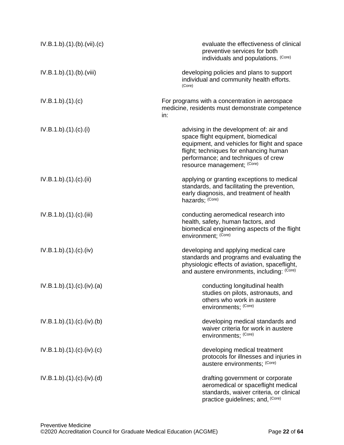<span id="page-21-0"></span>

| IV.B.1.b)(1)(b)(vii)(c)  | evaluate the effectiveness of clinical<br>preventive services for both<br>individuals and populations. (Core)                                                                                                                                 |
|--------------------------|-----------------------------------------------------------------------------------------------------------------------------------------------------------------------------------------------------------------------------------------------|
| IV.B.1.b).(1).(b).(viii) | developing policies and plans to support<br>individual and community health efforts.<br>(Core)                                                                                                                                                |
| IV.B.1.b)(1)(c)          | For programs with a concentration in aerospace<br>medicine, residents must demonstrate competence<br>in:                                                                                                                                      |
| IV.B.1.b)(1)(c)(i)       | advising in the development of: air and<br>space flight equipment, biomedical<br>equipment, and vehicles for flight and space<br>flight; techniques for enhancing human<br>performance; and techniques of crew<br>resource management; (Core) |
| IV.B.1.b)(1)(c)(ii)      | applying or granting exceptions to medical<br>standards, and facilitating the prevention,<br>early diagnosis, and treatment of health<br>hazards; (Core)                                                                                      |
| IV.B.1.b)(1)(c)(iii)     | conducting aeromedical research into<br>health, safety, human factors, and<br>biomedical engineering aspects of the flight<br>environment; (Core)                                                                                             |
| IV.B.1.b)(1)(c)(iv)      | developing and applying medical care<br>standards and programs and evaluating the<br>physiologic effects of aviation, spaceflight,<br>and austere environments, including: (Core)                                                             |
| IV.B.1.b)(1)(c)(iv)(a)   | conducting longitudinal health<br>studies on pilots, astronauts, and<br>others who work in austere<br>environments; (Core)                                                                                                                    |
| IV.B.1.b)(1)(c)(iv)(b)   | developing medical standards and<br>waiver criteria for work in austere<br>environments; (Core)                                                                                                                                               |
| IV.B.1.b)(1)(c)(iv)(c)   | developing medical treatment<br>protocols for illnesses and injuries in<br>austere environments; (Core)                                                                                                                                       |
| IV.B.1.b)(1)(c)(iv)(d)   | drafting government or corporate<br>aeromedical or spaceflight medical<br>standards, waiver criteria, or clinical<br>practice guidelines; and, (Core)                                                                                         |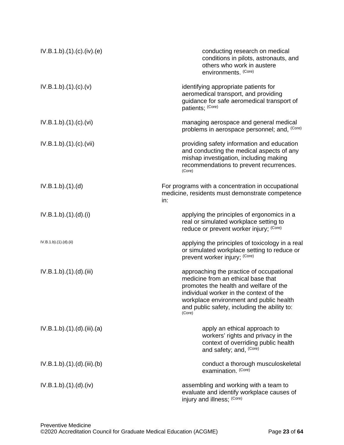<span id="page-22-0"></span>

| IV.B.1.b)(1)(c)(iv)(e)  | conducting research on medical<br>conditions in pilots, astronauts, and<br>others who work in austere<br>environments. (Core)                                                                                                                                            |
|-------------------------|--------------------------------------------------------------------------------------------------------------------------------------------------------------------------------------------------------------------------------------------------------------------------|
| IV.B.1.b)(1)(c)(v)      | identifying appropriate patients for<br>aeromedical transport, and providing<br>guidance for safe aeromedical transport of<br>patients; (Core)                                                                                                                           |
| IV.B.1.b)(1)(c)(vi)     | managing aerospace and general medical<br>problems in aerospace personnel; and, (Core)                                                                                                                                                                                   |
| IV.B.1.b).(1).(c).(vii) | providing safety information and education<br>and conducting the medical aspects of any<br>mishap investigation, including making<br>recommendations to prevent recurrences.<br>(Core)                                                                                   |
| IV.B.1.b)(1)(d)         | For programs with a concentration in occupational<br>medicine, residents must demonstrate competence<br>in:                                                                                                                                                              |
| IV.B.1.b)(1).(d).(i)    | applying the principles of ergonomics in a<br>real or simulated workplace setting to<br>reduce or prevent worker injury; (Core)                                                                                                                                          |
| IV.B.1.b).(1).(d).(ii)  | applying the principles of toxicology in a real<br>or simulated workplace setting to reduce or<br>prevent worker injury; (Core)                                                                                                                                          |
| IV.B.1.b)(1)(d)(iii)    | approaching the practice of occupational<br>medicine from an ethical base that<br>promotes the health and welfare of the<br>individual worker in the context of the<br>workplace environment and public health<br>and public safety, including the ability to:<br>(Core) |
| IV.B.1.b)(1)(d)(iii)(a) | apply an ethical approach to<br>workers' rights and privacy in the<br>context of overriding public health<br>and safety; and, (Core)                                                                                                                                     |
| IV.B.1.b)(1)(d)(iii)(b) | conduct a thorough musculoskeletal<br>examination. (Core)                                                                                                                                                                                                                |
| IV.B.1.b)(1)(d)(iv)     | assembling and working with a team to<br>evaluate and identify workplace causes of<br>injury and illness; (Core)                                                                                                                                                         |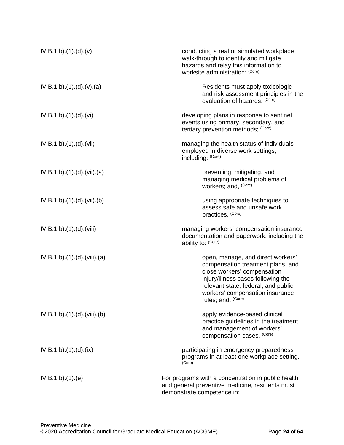<span id="page-23-0"></span>

| IV.B.1.b)(1)(d)(v)       | conducting a real or simulated workplace<br>walk-through to identify and mitigate<br>hazards and relay this information to<br>worksite administration; (Core)                                                                               |
|--------------------------|---------------------------------------------------------------------------------------------------------------------------------------------------------------------------------------------------------------------------------------------|
| IV.B.1.b)(1)(d)(v)(a)    | Residents must apply toxicologic<br>and risk assessment principles in the<br>evaluation of hazards. (Core)                                                                                                                                  |
| IV.B.1.b)(1)(d)(vi)      | developing plans in response to sentinel<br>events using primary, secondary, and<br>tertiary prevention methods; (Core)                                                                                                                     |
| IV.B.1.b)(1)(d)(vii)     | managing the health status of individuals<br>employed in diverse work settings,<br>including: (Core)                                                                                                                                        |
| IV.B.1.b)(1)(d)(vii)(a)  | preventing, mitigating, and<br>managing medical problems of<br>workers; and, (Core)                                                                                                                                                         |
| IV.B.1.b)(1)(d)(vii)(b)  | using appropriate techniques to<br>assess safe and unsafe work<br>practices. (Core)                                                                                                                                                         |
| IV.B.1.b).(1).(d).(viii) | managing workers' compensation insurance<br>documentation and paperwork, including the<br>ability to: (Core)                                                                                                                                |
| IV.B.1.b)(1)(d)(viii)(a) | open, manage, and direct workers'<br>compensation treatment plans, and<br>close workers' compensation<br>injury/illness cases following the<br>relevant state, federal, and public<br>workers' compensation insurance<br>rules; and, (Core) |
| IV.B.1.b)(1)(d)(viii)(b) | apply evidence-based clinical<br>practice guidelines in the treatment<br>and management of workers'<br>compensation cases. (Core)                                                                                                           |
| IV.B.1.b)(1)(d)(ix)      | participating in emergency preparedness<br>programs in at least one workplace setting.<br>(Core)                                                                                                                                            |
| IV.B.1.b)(1)(e)          | For programs with a concentration in public health<br>and general preventive medicine, residents must<br>demonstrate competence in:                                                                                                         |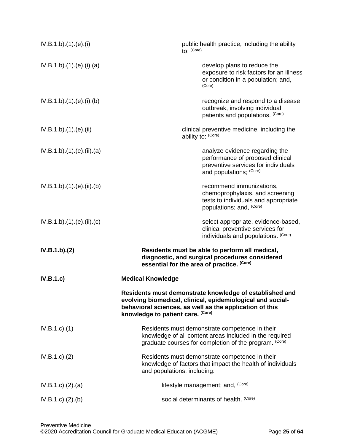| IV.B.1.b)(1)(e)(i)         | public health practice, including the ability<br>to: (Core)                                                                                                                                                           |
|----------------------------|-----------------------------------------------------------------------------------------------------------------------------------------------------------------------------------------------------------------------|
| IV.B.1.b)(1)(e)(i)(a)      | develop plans to reduce the<br>exposure to risk factors for an illness<br>or condition in a population; and,<br>(Core)                                                                                                |
| IV.B.1.b)(1)(e)(i)(b)      | recognize and respond to a disease<br>outbreak, involving individual<br>patients and populations. (Core)                                                                                                              |
| IV.B.1.b)(1)(e)(ii)        | clinical preventive medicine, including the<br>ability to: (Core)                                                                                                                                                     |
| IV.B.1.b)(1)(e)(ii)(a)     | analyze evidence regarding the<br>performance of proposed clinical<br>preventive services for individuals<br>and populations; (Core)                                                                                  |
| IV.B.1.b).(1).(e).(ii).(b) | recommend immunizations,<br>chemoprophylaxis, and screening<br>tests to individuals and appropriate<br>populations; and, (Core)                                                                                       |
| IV.B.1.b)(1)(e)(ii)(c)     | select appropriate, evidence-based,<br>clinical preventive services for<br>individuals and populations. (Core)                                                                                                        |
| IV.B.1.b)(2)               | Residents must be able to perform all medical,<br>diagnostic, and surgical procedures considered<br>essential for the area of practice. (Core)                                                                        |
| IV.B.1.c)                  | <b>Medical Knowledge</b>                                                                                                                                                                                              |
|                            | Residents must demonstrate knowledge of established and<br>evolving biomedical, clinical, epidemiological and social-<br>behavioral sciences, as well as the application of this<br>knowledge to patient care. (Core) |
| $IV.B.1.c$ ). $(1)$        | Residents must demonstrate competence in their<br>knowledge of all content areas included in the required<br>graduate courses for completion of the program. (Core)                                                   |
| IV.B.1.c.)(2)              | Residents must demonstrate competence in their<br>knowledge of factors that impact the health of individuals<br>and populations, including:                                                                           |
| IV.B.1.c). (2). (a)        | lifestyle management; and, (Core)                                                                                                                                                                                     |
| IV.B.1.c). (2). (b)        | social determinants of health. (Core)                                                                                                                                                                                 |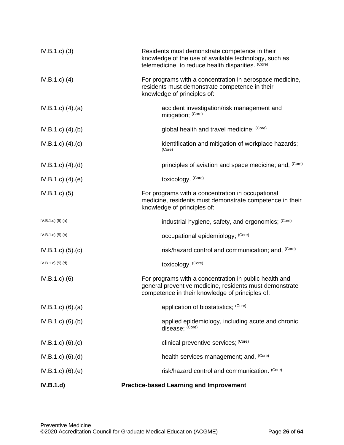| IV.B.1.d)                   | <b>Practice-based Learning and Improvement</b>                                                                                                                       |
|-----------------------------|----------------------------------------------------------------------------------------------------------------------------------------------------------------------|
| IV.B.1.c)(6)(e)             | risk/hazard control and communication. (Core)                                                                                                                        |
| IV.B.1.c)(6)(d)             | health services management; and, (Core)                                                                                                                              |
| IV.B.1.c). (6). (c)         | clinical preventive services; (Core)                                                                                                                                 |
| IV.B.1.c)(6)(b)             | applied epidemiology, including acute and chronic<br>disease; (Core)                                                                                                 |
| IV.B.1.c)(6)(a)             | application of biostatistics; (Core)                                                                                                                                 |
| $IV.B.1.c.$ (6)             | For programs with a concentration in public health and<br>general preventive medicine, residents must demonstrate<br>competence in their knowledge of principles of: |
| IV.B.1.c)(5)(d)             | toxicology. (Core)                                                                                                                                                   |
| IV.B.1.c). (5). (c)         | risk/hazard control and communication; and, (Core)                                                                                                                   |
| IV.B.1.c)(5)(b)             | occupational epidemiology; (Core)                                                                                                                                    |
| IV.B.1.c)(5)(a)             | industrial hygiene, safety, and ergonomics; (Core)                                                                                                                   |
| IV.B.1.c. (5)               | For programs with a concentration in occupational<br>medicine, residents must demonstrate competence in their<br>knowledge of principles of:                         |
| $IV.B.1.c$ . $(4)$ . $(e)$  | toxicology. (Core)                                                                                                                                                   |
| $IV.B.1.c$ . $(4)$ . $(d)$  | principles of aviation and space medicine; and, (Core)                                                                                                               |
| $IV.B.1.c$ ). $(4)$ . $(c)$ | identification and mitigation of workplace hazards;<br>(Core)                                                                                                        |
| $IV.B.1.c$ . $(4).$ (b)     | global health and travel medicine; (Core)                                                                                                                            |
| $IV.B.1.c$ . $(4)$ . $(a)$  | accident investigation/risk management and<br>mitigation; (Core)                                                                                                     |
| $IV.B.1.c$ . $(4)$          | For programs with a concentration in aerospace medicine,<br>residents must demonstrate competence in their<br>knowledge of principles of:                            |
| IV.B.1.c.3)                 | Residents must demonstrate competence in their<br>knowledge of the use of available technology, such as<br>telemedicine, to reduce health disparities. (Core)        |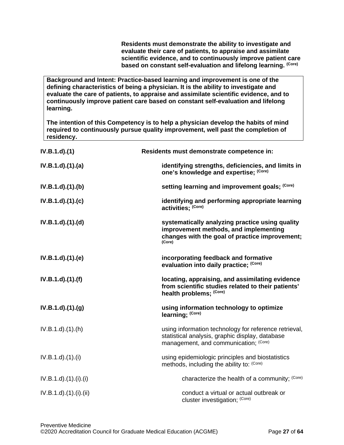**Residents must demonstrate the ability to investigate and evaluate their care of patients, to appraise and assimilate scientific evidence, and to continuously improve patient care based on constant self-evaluation and lifelong learning. (Core)**

**Background and Intent: Practice-based learning and improvement is one of the defining characteristics of being a physician. It is the ability to investigate and evaluate the care of patients, to appraise and assimilate scientific evidence, and to continuously improve patient care based on constant self-evaluation and lifelong learning.**

**The intention of this Competency is to help a physician develop the habits of mind required to continuously pursue quality improvement, well past the completion of residency.**

| IV.B.1.d)(1)               | Residents must demonstrate competence in:                                                                                                            |
|----------------------------|------------------------------------------------------------------------------------------------------------------------------------------------------|
| IV.B.1.d)(1)(a)            | identifying strengths, deficiencies, and limits in<br>one's knowledge and expertise; (Core)                                                          |
| IV.B.1.d)(1)(b)            | setting learning and improvement goals; (Core)                                                                                                       |
| $IV.B.1.d$ $.(1).(c)$      | identifying and performing appropriate learning<br>activities; (Core)                                                                                |
| $IV.B.1.d$ $.(1).(d)$      | systematically analyzing practice using quality<br>improvement methods, and implementing<br>changes with the goal of practice improvement;<br>(Core) |
| IV.B.1.d).(1).(e)          | incorporating feedback and formative<br>evaluation into daily practice; (Core)                                                                       |
| IV.B.1.d)(1)(f)            | locating, appraising, and assimilating evidence<br>from scientific studies related to their patients'<br>health problems; (Core)                     |
| IV.B.1.d)(1)(g)            | using information technology to optimize<br>learning; (Core)                                                                                         |
| $IV.B.1.d$ $(1).(h)$       | using information technology for reference retrieval,<br>statistical analysis, graphic display, database<br>management, and communication; (Core)    |
| $IV.B.1.d$ $.(1).(i)$      | using epidemiologic principles and biostatistics<br>methods, including the ability to: (Core)                                                        |
| $IV.B.1.d$ $.(1).(i).(i)$  | characterize the health of a community; (Core)                                                                                                       |
| $IV.B.1.d$ $.(1).(i).(ii)$ | conduct a virtual or actual outbreak or<br>cluster investigation; (Core)                                                                             |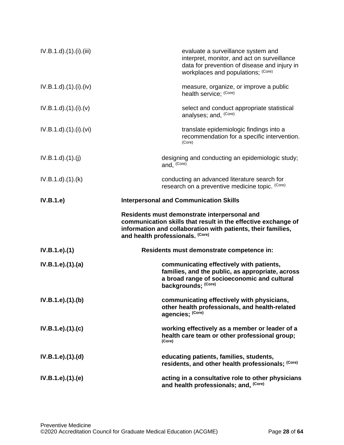| IV.B.1.d).(1).(i).(iii)    | evaluate a surveillance system and<br>interpret, monitor, and act on surveillance<br>data for prevention of disease and injury in<br>workplaces and populations; (Core)                                           |
|----------------------------|-------------------------------------------------------------------------------------------------------------------------------------------------------------------------------------------------------------------|
| $IV.B.1.d$ $.(1).(i).(iv)$ | measure, organize, or improve a public<br>health service; (Core)                                                                                                                                                  |
| IV.B.1.d)(1)(i)(v)         | select and conduct appropriate statistical<br>analyses; and, (Core)                                                                                                                                               |
| $IV.B.1.d$ $.(1).(i).(vi)$ | translate epidemiologic findings into a<br>recommendation for a specific intervention.<br>(Core)                                                                                                                  |
| IV.B.1.d)(1)(j)            | designing and conducting an epidemiologic study;<br>and, (Core)                                                                                                                                                   |
| IV.B.1.d)(1.(k))           | conducting an advanced literature search for<br>research on a preventive medicine topic. (Core)                                                                                                                   |
| IV.B.1.e)                  | <b>Interpersonal and Communication Skills</b>                                                                                                                                                                     |
|                            | Residents must demonstrate interpersonal and<br>communication skills that result in the effective exchange of<br>information and collaboration with patients, their families,<br>and health professionals. (Core) |
| IV.B.1.e).(1)              | Residents must demonstrate competence in:                                                                                                                                                                         |
| IV.B.1.e).(1).(a)          | communicating effectively with patients,<br>families, and the public, as appropriate, across<br>a broad range of socioeconomic and cultural<br>backgrounds; (Core)                                                |
| IV.B.1.e).(1).(b)          | communicating effectively with physicians,<br>other health professionals, and health-related<br>agencies; (Core)                                                                                                  |
| IV.B.1.e).(1).(c)          | working effectively as a member or leader of a<br>health care team or other professional group;<br>(Core)                                                                                                         |
| IV.B.1.e).(1).(d)          | educating patients, families, students,<br>residents, and other health professionals; (Core)                                                                                                                      |
| IV.B.1.e).(1).(e)          | acting in a consultative role to other physicians<br>and health professionals; and, (Core)                                                                                                                        |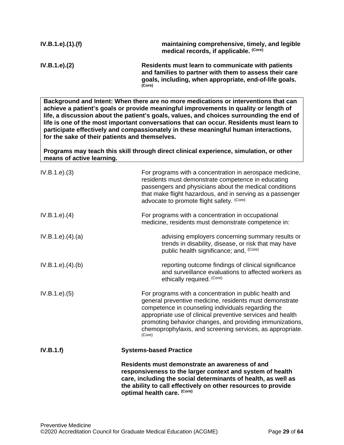| IV.B.1.e).(1).(f) | maintaining comprehensive, timely, and legible<br>medical records, if applicable. (Core)                                                                                        |
|-------------------|---------------------------------------------------------------------------------------------------------------------------------------------------------------------------------|
| IV.B.1.e). (2)    | Residents must learn to communicate with patients<br>and families to partner with them to assess their care<br>goals, including, when appropriate, end-of-life goals.<br>(Core) |

**Background and Intent: When there are no more medications or interventions that can achieve a patient's goals or provide meaningful improvements in quality or length of life, a discussion about the patient's goals, values, and choices surrounding the end of life is one of the most important conversations that can occur. Residents must learn to participate effectively and compassionately in these meaningful human interactions, for the sake of their patients and themselves.**

**Programs may teach this skill through direct clinical experience, simulation, or other means of active learning.**

| IV.B.1.e). (3)      | For programs with a concentration in aerospace medicine,<br>residents must demonstrate competence in educating<br>passengers and physicians about the medical conditions<br>that make flight hazardous, and in serving as a passenger<br>advocate to promote flight safety. (Core)                                                                                       |
|---------------------|--------------------------------------------------------------------------------------------------------------------------------------------------------------------------------------------------------------------------------------------------------------------------------------------------------------------------------------------------------------------------|
| IV.B.1.e). (4)      | For programs with a concentration in occupational<br>medicine, residents must demonstrate competence in:                                                                                                                                                                                                                                                                 |
| IV.B.1.e). (4). (a) | advising employers concerning summary results or<br>trends in disability, disease, or risk that may have<br>public health significance; and, (Core)                                                                                                                                                                                                                      |
| IV.B.1.e). (4). (b) | reporting outcome findings of clinical significance<br>and surveillance evaluations to affected workers as<br>ethically required. (Core)                                                                                                                                                                                                                                 |
| IV.B.1.e). (5)      | For programs with a concentration in public health and<br>general preventive medicine, residents must demonstrate<br>competence in counseling individuals regarding the<br>appropriate use of clinical preventive services and health<br>promoting behavior changes, and providing immunizations,<br>chemoprophylaxis, and screening services, as appropriate.<br>(Core) |
| IV.B.1.f)           | <b>Systems-based Practice</b>                                                                                                                                                                                                                                                                                                                                            |
|                     | Residents must demonstrate an awareness of and<br>responsiveness to the larger context and system of health<br>care, including the social determinants of health, as well as<br>the ability to call effectively on other resources to provide<br>optimal health care. (Core)                                                                                             |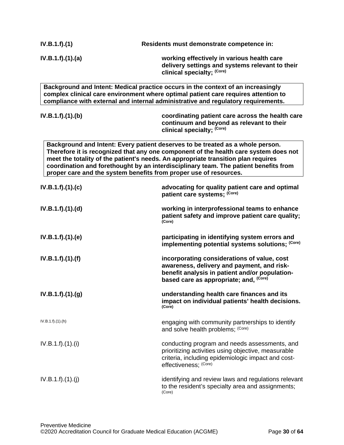| IV.B.1.f).(1)     | Residents must demonstrate competence in:                                                                                                                                                                                                                                                                                                                                                                                |
|-------------------|--------------------------------------------------------------------------------------------------------------------------------------------------------------------------------------------------------------------------------------------------------------------------------------------------------------------------------------------------------------------------------------------------------------------------|
| IV.B.1.f).(1).(a) | working effectively in various health care<br>delivery settings and systems relevant to their<br>clinical specialty; (Core)                                                                                                                                                                                                                                                                                              |
|                   | Background and Intent: Medical practice occurs in the context of an increasingly<br>complex clinical care environment where optimal patient care requires attention to<br>compliance with external and internal administrative and regulatory requirements.                                                                                                                                                              |
| IV.B.1.f)(1)(b)   | coordinating patient care across the health care<br>continuum and beyond as relevant to their<br>clinical specialty; (Core)                                                                                                                                                                                                                                                                                              |
|                   | Background and Intent: Every patient deserves to be treated as a whole person.<br>Therefore it is recognized that any one component of the health care system does not<br>meet the totality of the patient's needs. An appropriate transition plan requires<br>coordination and forethought by an interdisciplinary team. The patient benefits from<br>proper care and the system benefits from proper use of resources. |
| IV.B.1.f).(1).(c) | advocating for quality patient care and optimal<br>patient care systems; (Core)                                                                                                                                                                                                                                                                                                                                          |
| IV.B.1.f)(1)(d)   | working in interprofessional teams to enhance<br>patient safety and improve patient care quality;<br>(Core)                                                                                                                                                                                                                                                                                                              |
| IV.B.1.f).(1).(e) | participating in identifying system errors and<br>implementing potential systems solutions; (Core)                                                                                                                                                                                                                                                                                                                       |
| IV.B.1.f).(1).(f) | incorporating considerations of value, cost<br>awareness, delivery and payment, and risk-<br>benefit analysis in patient and/or population-<br>based care as appropriate; and, (Core)                                                                                                                                                                                                                                    |
| IV.B.1.f).(1).(g) | understanding health care finances and its<br>impact on individual patients' health decisions.<br>(Core)                                                                                                                                                                                                                                                                                                                 |
| IV.B.1.f) (1) (h) | engaging with community partnerships to identify<br>and solve health problems; (Core)                                                                                                                                                                                                                                                                                                                                    |
| IV.B.1.f).(1).(i) | conducting program and needs assessments, and<br>prioritizing activities using objective, measurable<br>criteria, including epidemiologic impact and cost-<br>effectiveness; (Core)                                                                                                                                                                                                                                      |
| IV.B.1.f).(1).(j) | identifying and review laws and regulations relevant<br>to the resident's specialty area and assignments;                                                                                                                                                                                                                                                                                                                |

(Core)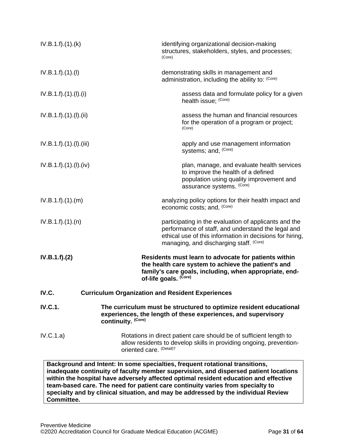| IV.B.1.f).(1).(k)       |                          | identifying organizational decision-making<br>structures, stakeholders, styles, and processes;<br>(Core)                                                                                                                                                     |
|-------------------------|--------------------------|--------------------------------------------------------------------------------------------------------------------------------------------------------------------------------------------------------------------------------------------------------------|
| IV.B.1.f).(1).(I)       |                          | demonstrating skills in management and<br>administration, including the ability to: (Core)                                                                                                                                                                   |
| IV.B.1.f).(1).(1).(i)   |                          | assess data and formulate policy for a given<br>health issue; (Core)                                                                                                                                                                                         |
| IV.B.1.f).(1).(I).(ii)  |                          | assess the human and financial resources<br>for the operation of a program or project;<br>(Core)                                                                                                                                                             |
| IV.B.1.f).(1).(I).(iii) |                          | apply and use management information<br>systems; and, (Core)                                                                                                                                                                                                 |
| IV.B.1.f).(1).(I).(iv)  |                          | plan, manage, and evaluate health services<br>to improve the health of a defined<br>population using quality improvement and<br>assurance systems. (Core)                                                                                                    |
| IV.B.1.f).(1).(m)       |                          | analyzing policy options for their health impact and<br>economic costs; and, (Core)                                                                                                                                                                          |
| IV.B.1.f).(1).(n)       |                          | participating in the evaluation of applicants and the<br>performance of staff, and understand the legal and<br>ethical use of this information in decisions for hiring,<br>managing, and discharging staff. (Core)                                           |
| IV.B.1.f).(2)           |                          | Residents must learn to advocate for patients within<br>the health care system to achieve the patient's and<br>family's care goals, including, when appropriate, end-<br>of-life goals. (Core)                                                               |
| IV.C.                   |                          | <b>Curriculum Organization and Resident Experiences</b>                                                                                                                                                                                                      |
| <b>IV.C.1.</b>          | continuity. (Core)       | The curriculum must be structured to optimize resident educational<br>experiences, the length of these experiences, and supervisory                                                                                                                          |
| IV.C.1.a)               | oriented care. (Detail)t | Rotations in direct patient care should be of sufficient length to<br>allow residents to develop skills in providing ongoing, prevention-                                                                                                                    |
|                         |                          | Background and Intent: In some specialties, frequent rotational transitions,<br>inadequate continuity of faculty member supervision, and dispersed patient locations<br>within the hospital have adversely affected optimal resident education and effective |

<span id="page-30-0"></span>**team-based care. The need for patient care continuity varies from specialty to specialty and by clinical situation, and may be addressed by the individual Review Committee.**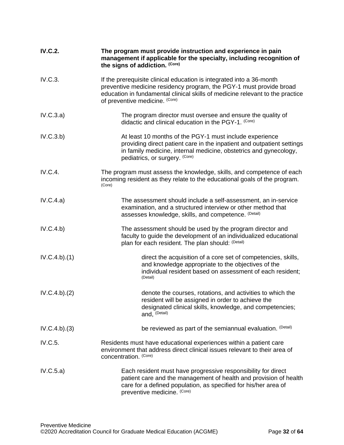<span id="page-31-0"></span>

| <b>IV.C.2.</b> | The program must provide instruction and experience in pain<br>management if applicable for the specialty, including recognition of<br>the signs of addiction. (Core)                                                                                          |
|----------------|----------------------------------------------------------------------------------------------------------------------------------------------------------------------------------------------------------------------------------------------------------------|
| IV.C.3.        | If the prerequisite clinical education is integrated into a 36-month<br>preventive medicine residency program, the PGY-1 must provide broad<br>education in fundamental clinical skills of medicine relevant to the practice<br>of preventive medicine. (Core) |
| IV.C.3.a)      | The program director must oversee and ensure the quality of<br>didactic and clinical education in the PGY-1. (Core)                                                                                                                                            |
| IV.C.3.b)      | At least 10 months of the PGY-1 must include experience<br>providing direct patient care in the inpatient and outpatient settings<br>in family medicine, internal medicine, obstetrics and gynecology,<br>pediatrics, or surgery. (Core)                       |
| IV.C.4.        | The program must assess the knowledge, skills, and competence of each<br>incoming resident as they relate to the educational goals of the program.<br>(Core)                                                                                                   |
| IV.C.4.a)      | The assessment should include a self-assessment, an in-service<br>examination, and a structured interview or other method that<br>assesses knowledge, skills, and competence. (Detail)                                                                         |
| IV.C.4.b)      | The assessment should be used by the program director and<br>faculty to guide the development of an individualized educational<br>plan for each resident. The plan should: (Detail)                                                                            |
| IV.C.4.b)(1)   | direct the acquisition of a core set of competencies, skills,<br>and knowledge appropriate to the objectives of the<br>individual resident based on assessment of each resident;<br>(Detail)                                                                   |
| IV.C.4.b)(2)   | denote the courses, rotations, and activities to which the<br>resident will be assigned in order to achieve the<br>designated clinical skills, knowledge, and competencies;<br>and, (Detail)                                                                   |
| IV.C.4.b)(3)   | be reviewed as part of the semiannual evaluation. (Detail)                                                                                                                                                                                                     |
| IV.C.5.        | Residents must have educational experiences within a patient care<br>environment that address direct clinical issues relevant to their area of<br>concentration. (Core)                                                                                        |
| IV.C.5.a)      | Each resident must have progressive responsibility for direct<br>patient care and the management of health and provision of health<br>care for a defined population, as specified for his/her area of<br>preventive medicine. (Core)                           |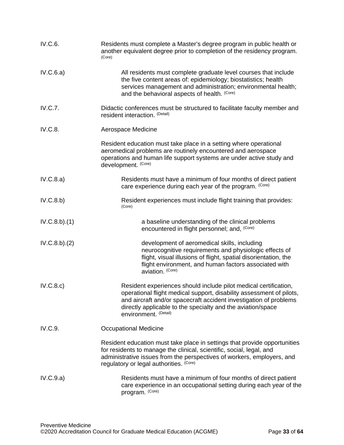<span id="page-32-1"></span><span id="page-32-0"></span>

| IV.C.6.        | Residents must complete a Master's degree program in public health or<br>another equivalent degree prior to completion of the residency program.<br>(Core)                                                                                                                                            |
|----------------|-------------------------------------------------------------------------------------------------------------------------------------------------------------------------------------------------------------------------------------------------------------------------------------------------------|
| IV.C.6.a)      | All residents must complete graduate level courses that include<br>the five content areas of: epidemiology; biostatistics; health<br>services management and administration; environmental health;<br>and the behavioral aspects of health. (Core)                                                    |
| <b>IV.C.7.</b> | Didactic conferences must be structured to facilitate faculty member and<br>resident interaction. (Detail)                                                                                                                                                                                            |
| IV.C.8.        | Aerospace Medicine                                                                                                                                                                                                                                                                                    |
|                | Resident education must take place in a setting where operational<br>aeromedical problems are routinely encountered and aerospace<br>operations and human life support systems are under active study and<br>development. (Core)                                                                      |
| IV.C.8.a)      | Residents must have a minimum of four months of direct patient<br>care experience during each year of the program. (Core)                                                                                                                                                                             |
| IV.C.8.b)      | Resident experiences must include flight training that provides:<br>(Core)                                                                                                                                                                                                                            |
| IV.C.8.b)(1)   | a baseline understanding of the clinical problems<br>encountered in flight personnel; and, (Core)                                                                                                                                                                                                     |
| IV.C.8.b)(2)   | development of aeromedical skills, including<br>neurocognitive requirements and physiologic effects of<br>flight, visual illusions of flight, spatial disorientation, the<br>flight environment, and human factors associated with<br>aviation. (Core)                                                |
| IV.C.8.c)      | Resident experiences should include pilot medical certification,<br>operational flight medical support, disability assessment of pilots,<br>and aircraft and/or spacecraft accident investigation of problems<br>directly applicable to the specialty and the aviation/space<br>environment. (Detail) |
| IV.C.9.        | <b>Occupational Medicine</b>                                                                                                                                                                                                                                                                          |
|                | Resident education must take place in settings that provide opportunities<br>for residents to manage the clinical, scientific, social, legal, and<br>administrative issues from the perspectives of workers, employers, and<br>regulatory or legal authorities. (Core)                                |
| IV.C.9.a)      | Residents must have a minimum of four months of direct patient<br>care experience in an occupational setting during each year of the<br>program. (Core)                                                                                                                                               |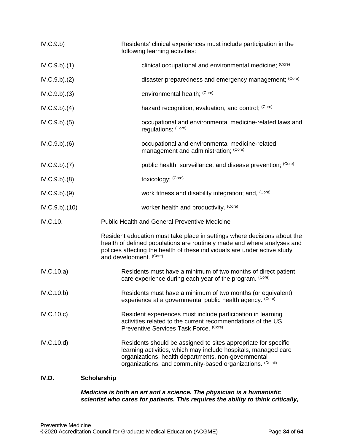| IV.C.9.b)     | Residents' clinical experiences must include participation in the<br>following learning activities:                                                                                                                                                         |  |
|---------------|-------------------------------------------------------------------------------------------------------------------------------------------------------------------------------------------------------------------------------------------------------------|--|
| IV.C.9.b)(1)  | clinical occupational and environmental medicine; (Core)                                                                                                                                                                                                    |  |
| IV.C.9.b)(2)  | disaster preparedness and emergency management; (Core)                                                                                                                                                                                                      |  |
| IV.C.9.b)(3)  | environmental health; (Core)                                                                                                                                                                                                                                |  |
| IV.C.9.b)(4)  | hazard recognition, evaluation, and control; (Core)                                                                                                                                                                                                         |  |
| IV.C.9.b)(5)  | occupational and environmental medicine-related laws and<br>regulations; (Core)                                                                                                                                                                             |  |
| IV.C.9.b)(6)  | occupational and environmental medicine-related<br>management and administration; (Core)                                                                                                                                                                    |  |
| IV.C.9.b)(7)  | public health, surveillance, and disease prevention; (Core)                                                                                                                                                                                                 |  |
| IV.C.9.b)(8)  | toxicology; (Core)                                                                                                                                                                                                                                          |  |
| IV.C.9.b)(9)  | work fitness and disability integration; and, (Core)                                                                                                                                                                                                        |  |
| IV.C.9.b)(10) | worker health and productivity. (Core)                                                                                                                                                                                                                      |  |
| IV.C.10.      | <b>Public Health and General Preventive Medicine</b>                                                                                                                                                                                                        |  |
|               | Resident education must take place in settings where decisions about the<br>health of defined populations are routinely made and where analyses and<br>policies affecting the health of these individuals are under active study<br>and development. (Core) |  |
| IV.C.10.a)    | Residents must have a minimum of two months of direct patient<br>care experience during each year of the program. (Core)                                                                                                                                    |  |
| IV.C.10.b)    | Residents must have a minimum of two months (or equivalent)<br>experience at a governmental public health agency. (Core)                                                                                                                                    |  |
| IV.C.10.c)    | Resident experiences must include participation in learning<br>activities related to the current recommendations of the US<br>Preventive Services Task Force. (Core)                                                                                        |  |
| IV.C.10.d)    | Residents should be assigned to sites appropriate for specific<br>learning activities, which may include hospitals, managed care<br>organizations, health departments, non-governmental<br>organizations, and community-based organizations. (Detail)       |  |

# <span id="page-33-1"></span><span id="page-33-0"></span>**IV.D. Scholarship**

#### *Medicine is both an art and a science. The physician is a humanistic scientist who cares for patients. This requires the ability to think critically,*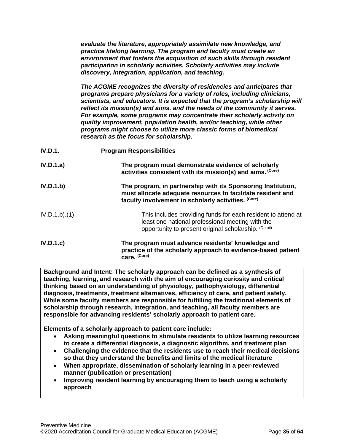*evaluate the literature, appropriately assimilate new knowledge, and practice lifelong learning. The program and faculty must create an environment that fosters the acquisition of such skills through resident participation in scholarly activities. Scholarly activities may include discovery, integration, application, and teaching.*

*The ACGME recognizes the diversity of residencies and anticipates that programs prepare physicians for a variety of roles, including clinicians, scientists, and educators. It is expected that the program's scholarship will reflect its mission(s) and aims, and the needs of the community it serves. For example, some programs may concentrate their scholarly activity on quality improvement, population health, and/or teaching, while other programs might choose to utilize more classic forms of biomedical research as the focus for scholarship.*

| <b>IV.D.1.</b> | <b>Program Responsibilities</b>                                                                                                                                                    |
|----------------|------------------------------------------------------------------------------------------------------------------------------------------------------------------------------------|
| IV.D.1.a)      | The program must demonstrate evidence of scholarly<br>activities consistent with its mission(s) and aims. (Core)                                                                   |
| IV.D.1.b)      | The program, in partnership with its Sponsoring Institution,<br>must allocate adequate resources to facilitate resident and<br>faculty involvement in scholarly activities. (Core) |
| IV.D.1.b).(1)  | This includes providing funds for each resident to attend at<br>least one national professional meeting with the<br>opportunity to present original scholarship. (Detail)          |
| IV.D.1.c       | The program must advance residents' knowledge and<br>practice of the scholarly approach to evidence-based patient<br>care. (Core)                                                  |

**Background and Intent: The scholarly approach can be defined as a synthesis of teaching, learning, and research with the aim of encouraging curiosity and critical thinking based on an understanding of physiology, pathophysiology, differential diagnosis, treatments, treatment alternatives, efficiency of care, and patient safety. While some faculty members are responsible for fulfilling the traditional elements of scholarship through research, integration, and teaching, all faculty members are responsible for advancing residents' scholarly approach to patient care.**

**Elements of a scholarly approach to patient care include:**

- **Asking meaningful questions to stimulate residents to utilize learning resources to create a differential diagnosis, a diagnostic algorithm, and treatment plan**
- **Challenging the evidence that the residents use to reach their medical decisions so that they understand the benefits and limits of the medical literature**
- **When appropriate, dissemination of scholarly learning in a peer-reviewed manner (publication or presentation)**
- **Improving resident learning by encouraging them to teach using a scholarly approach**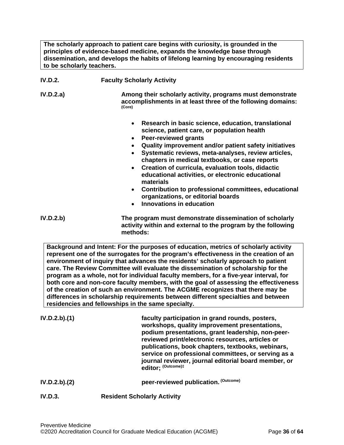**The scholarly approach to patient care begins with curiosity, is grounded in the principles of evidence-based medicine, expands the knowledge base through dissemination, and develops the habits of lifelong learning by encouraging residents to be scholarly teachers.**

| <b>IV.D.2.</b> | <b>Faculty Scholarly Activity</b>                                                                                                                                                                                                                                                                                                                                                                                                                                                                                                                                                     |
|----------------|---------------------------------------------------------------------------------------------------------------------------------------------------------------------------------------------------------------------------------------------------------------------------------------------------------------------------------------------------------------------------------------------------------------------------------------------------------------------------------------------------------------------------------------------------------------------------------------|
| IV.D.2.a)      | Among their scholarly activity, programs must demonstrate<br>accomplishments in at least three of the following domains:<br>(Core)                                                                                                                                                                                                                                                                                                                                                                                                                                                    |
|                | Research in basic science, education, translational<br>science, patient care, or population health<br><b>Peer-reviewed grants</b><br>$\bullet$<br>Quality improvement and/or patient safety initiatives<br>Systematic reviews, meta-analyses, review articles,<br>chapters in medical textbooks, or case reports<br>Creation of curricula, evaluation tools, didactic<br>educational activities, or electronic educational<br>materials<br>Contribution to professional committees, educational<br>organizations, or editorial boards<br><b>Innovations in education</b><br>$\bullet$ |
| IV.D.2.b)      | The program must demonstrate dissemination of scholarly<br>activity within and external to the program by the following<br>methods:                                                                                                                                                                                                                                                                                                                                                                                                                                                   |

**Background and Intent: For the purposes of education, metrics of scholarly activity represent one of the surrogates for the program's effectiveness in the creation of an environment of inquiry that advances the residents' scholarly approach to patient care. The Review Committee will evaluate the dissemination of scholarship for the program as a whole, not for individual faculty members, for a five-year interval, for both core and non-core faculty members, with the goal of assessing the effectiveness of the creation of such an environment. The ACGME recognizes that there may be differences in scholarship requirements between different specialties and between residencies and fellowships in the same specialty.**

| IV.D.2.b).(1) | faculty participation in grand rounds, posters,<br>workshops, quality improvement presentations,<br>podium presentations, grant leadership, non-peer-<br>reviewed print/electronic resources, articles or<br>publications, book chapters, textbooks, webinars,<br>service on professional committees, or serving as a<br>journal reviewer, journal editorial board member, or<br>editor: (Outcome)‡ |
|---------------|-----------------------------------------------------------------------------------------------------------------------------------------------------------------------------------------------------------------------------------------------------------------------------------------------------------------------------------------------------------------------------------------------------|
| IV.D.2.b).(2) | peer-reviewed publication. (Outcome)                                                                                                                                                                                                                                                                                                                                                                |

#### **IV.D.3. Resident Scholarly Activity**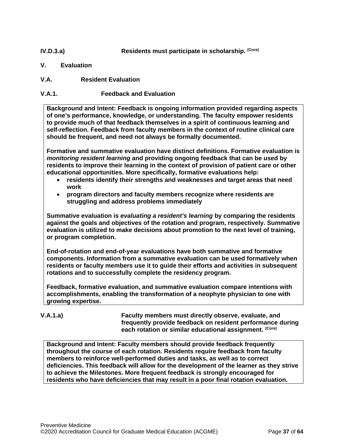## **IV.D.3.a) Residents must participate in scholarship.** (Core)

- <span id="page-36-0"></span>**V. Evaluation**
- <span id="page-36-1"></span>**V.A. Resident Evaluation**

## **V.A.1. Feedback and Evaluation**

**Background and Intent: Feedback is ongoing information provided regarding aspects of one's performance, knowledge, or understanding. The faculty empower residents to provide much of that feedback themselves in a spirit of continuous learning and self-reflection. Feedback from faculty members in the context of routine clinical care should be frequent, and need not always be formally documented.**

**Formative and summative evaluation have distinct definitions. Formative evaluation is**  *monitoring resident learning* **and providing ongoing feedback that can be used by residents to improve their learning in the context of provision of patient care or other educational opportunities. More specifically, formative evaluations help:**

- **residents identify their strengths and weaknesses and target areas that need work**
- **program directors and faculty members recognize where residents are struggling and address problems immediately**

**Summative evaluation is** *evaluating a resident's learning* **by comparing the residents against the goals and objectives of the rotation and program, respectively. Summative evaluation is utilized to make decisions about promotion to the next level of training, or program completion.**

**End-of-rotation and end-of-year evaluations have both summative and formative components. Information from a summative evaluation can be used formatively when residents or faculty members use it to guide their efforts and activities in subsequent rotations and to successfully complete the residency program.**

**Feedback, formative evaluation, and summative evaluation compare intentions with accomplishments, enabling the transformation of a neophyte physician to one with growing expertise.** 

**V.A.1.a) Faculty members must directly observe, evaluate, and frequently provide feedback on resident performance during each rotation or similar educational assignment. (Core)**

**Background and Intent: Faculty members should provide feedback frequently throughout the course of each rotation. Residents require feedback from faculty members to reinforce well-performed duties and tasks, as well as to correct deficiencies. This feedback will allow for the development of the learner as they strive to achieve the Milestones. More frequent feedback is strongly encouraged for residents who have deficiencies that may result in a poor final rotation evaluation.**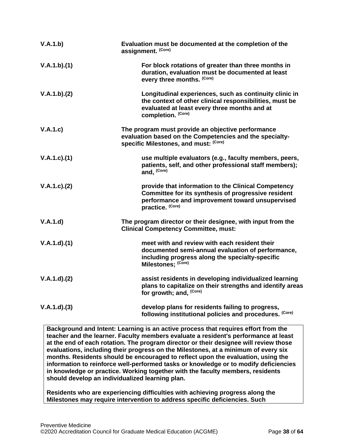| V.A.1.b)      | Evaluation must be documented at the completion of the<br>assignment. (Core)                                                                                                            |
|---------------|-----------------------------------------------------------------------------------------------------------------------------------------------------------------------------------------|
| V.A.1.b)(1)   | For block rotations of greater than three months in<br>duration, evaluation must be documented at least<br>every three months. (Core)                                                   |
| V.A.1.b)(2)   | Longitudinal experiences, such as continuity clinic in<br>the context of other clinical responsibilities, must be<br>evaluated at least every three months and at<br>completion. (Core) |
| V.A.1.c)      | The program must provide an objective performance<br>evaluation based on the Competencies and the specialty-<br>specific Milestones, and must: (Core)                                   |
| V.A.1.c).(1)  | use multiple evaluators (e.g., faculty members, peers,<br>patients, self, and other professional staff members);<br>and, (Core)                                                         |
| V.A.1.c). (2) | provide that information to the Clinical Competency<br>Committee for its synthesis of progressive resident<br>performance and improvement toward unsupervised<br>practice. (Core)       |
| V.A.1.d       | The program director or their designee, with input from the<br><b>Clinical Competency Committee, must:</b>                                                                              |
| V.A.1.d)(1)   | meet with and review with each resident their<br>documented semi-annual evaluation of performance,<br>including progress along the specialty-specific<br>Milestones; (Core)             |
| V.A.1.d)(2)   | assist residents in developing individualized learning<br>plans to capitalize on their strengths and identify areas<br>for growth; and, (Core)                                          |
| V.A.1.d)(3)   | develop plans for residents failing to progress,<br>following institutional policies and procedures. (Core)                                                                             |

**Background and Intent: Learning is an active process that requires effort from the teacher and the learner. Faculty members evaluate a resident's performance at least at the end of each rotation. The program director or their designee will review those evaluations, including their progress on the Milestones, at a minimum of every six months. Residents should be encouraged to reflect upon the evaluation, using the information to reinforce well-performed tasks or knowledge or to modify deficiencies in knowledge or practice. Working together with the faculty members, residents should develop an individualized learning plan.**

**Residents who are experiencing difficulties with achieving progress along the Milestones may require intervention to address specific deficiencies. Such**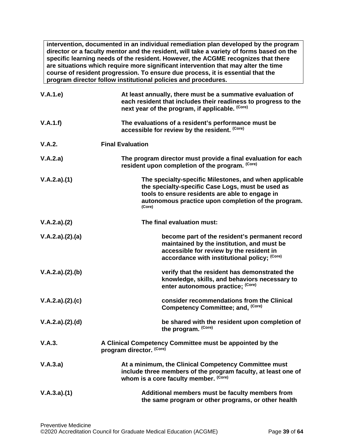**intervention, documented in an individual remediation plan developed by the program director or a faculty mentor and the resident, will take a variety of forms based on the specific learning needs of the resident. However, the ACGME recognizes that there are situations which require more significant intervention that may alter the time course of resident progression. To ensure due process, it is essential that the program director follow institutional policies and procedures.**

| V.A.1.e)        | At least annually, there must be a summative evaluation of<br>each resident that includes their readiness to progress to the<br>next year of the program, if applicable. (Core)                                                 |
|-----------------|---------------------------------------------------------------------------------------------------------------------------------------------------------------------------------------------------------------------------------|
| V.A.1.f)        | The evaluations of a resident's performance must be<br>accessible for review by the resident. (Core)                                                                                                                            |
| V.A.2.          | <b>Final Evaluation</b>                                                                                                                                                                                                         |
| V.A.2.a)        | The program director must provide a final evaluation for each<br>resident upon completion of the program. (Core)                                                                                                                |
| V.A.2.a)(1)     | The specialty-specific Milestones, and when applicable<br>the specialty-specific Case Logs, must be used as<br>tools to ensure residents are able to engage in<br>autonomous practice upon completion of the program.<br>(Core) |
| V.A.2.a)(2)     | The final evaluation must:                                                                                                                                                                                                      |
| V.A.2.a)(2).(a) | become part of the resident's permanent record<br>maintained by the institution, and must be<br>accessible for review by the resident in<br>accordance with institutional policy; (Core)                                        |
| V.A.2.a)(2).(b) | verify that the resident has demonstrated the<br>knowledge, skills, and behaviors necessary to<br>enter autonomous practice; (Core)                                                                                             |
| V.A.2.a)(2).(c) | consider recommendations from the Clinical<br>Competency Committee; and, (Core)                                                                                                                                                 |
| V.A.2.a)(2).(d) | be shared with the resident upon completion of<br>the program. (Core)                                                                                                                                                           |
| V.A.3.          | A Clinical Competency Committee must be appointed by the<br>program director. (Core)                                                                                                                                            |
| V.A.3.a)        | At a minimum, the Clinical Competency Committee must<br>include three members of the program faculty, at least one of<br>whom is a core faculty member. (Core)                                                                  |
| V.A.3.a)(1)     | Additional members must be faculty members from<br>the same program or other programs, or other health                                                                                                                          |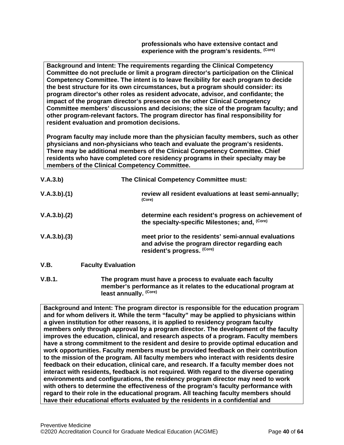**professionals who have extensive contact and experience with the program's residents. (Core)**

**Background and Intent: The requirements regarding the Clinical Competency Committee do not preclude or limit a program director's participation on the Clinical Competency Committee. The intent is to leave flexibility for each program to decide the best structure for its own circumstances, but a program should consider: its program director's other roles as resident advocate, advisor, and confidante; the impact of the program director's presence on the other Clinical Competency Committee members' discussions and decisions; the size of the program faculty; and other program-relevant factors. The program director has final responsibility for resident evaluation and promotion decisions.**

**Program faculty may include more than the physician faculty members, such as other physicians and non-physicians who teach and evaluate the program's residents. There may be additional members of the Clinical Competency Committee. Chief residents who have completed core residency programs in their specialty may be members of the Clinical Competency Committee.** 

| V.A.3.b)    |                           | The Clinical Competency Committee must:                                                                                               |
|-------------|---------------------------|---------------------------------------------------------------------------------------------------------------------------------------|
| V.A.3.b)(1) |                           | review all resident evaluations at least semi-annually;<br>(Core)                                                                     |
| V.A.3.b)(2) |                           | determine each resident's progress on achievement of<br>the specialty-specific Milestones; and, (Core)                                |
| V.A.3.b)(3) |                           | meet prior to the residents' semi-annual evaluations<br>and advise the program director regarding each<br>resident's progress. (Core) |
| V.B.        | <b>Faculty Evaluation</b> |                                                                                                                                       |

<span id="page-39-0"></span>**V.B.1. The program must have a process to evaluate each faculty member's performance as it relates to the educational program at least annually. (Core)**

**Background and Intent: The program director is responsible for the education program and for whom delivers it. While the term "faculty" may be applied to physicians within a given institution for other reasons, it is applied to residency program faculty members only through approval by a program director. The development of the faculty improves the education, clinical, and research aspects of a program. Faculty members have a strong commitment to the resident and desire to provide optimal education and work opportunities. Faculty members must be provided feedback on their contribution to the mission of the program. All faculty members who interact with residents desire feedback on their education, clinical care, and research. If a faculty member does not interact with residents, feedback is not required. With regard to the diverse operating environments and configurations, the residency program director may need to work with others to determine the effectiveness of the program's faculty performance with regard to their role in the educational program. All teaching faculty members should have their educational efforts evaluated by the residents in a confidential and**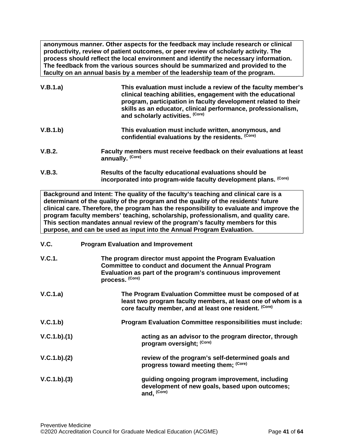**anonymous manner. Other aspects for the feedback may include research or clinical productivity, review of patient outcomes, or peer review of scholarly activity. The process should reflect the local environment and identify the necessary information. The feedback from the various sources should be summarized and provided to the faculty on an annual basis by a member of the leadership team of the program.**

| V.B.1.a) | This evaluation must include a review of the faculty member's<br>clinical teaching abilities, engagement with the educational<br>program, participation in faculty development related to their<br>skills as an educator, clinical performance, professionalism,<br>and scholarly activities. (Core) |
|----------|------------------------------------------------------------------------------------------------------------------------------------------------------------------------------------------------------------------------------------------------------------------------------------------------------|
| V.B.1.b) | This evaluation must include written, anonymous, and<br>confidential evaluations by the residents. (Core)                                                                                                                                                                                            |

- **V.B.2. Faculty members must receive feedback on their evaluations at least annually. (Core)**
- **V.B.3. Results of the faculty educational evaluations should be incorporated into program-wide faculty development plans. (Core)**

**Background and Intent: The quality of the faculty's teaching and clinical care is a determinant of the quality of the program and the quality of the residents' future clinical care. Therefore, the program has the responsibility to evaluate and improve the program faculty members' teaching, scholarship, professionalism, and quality care. This section mandates annual review of the program's faculty members for this purpose, and can be used as input into the Annual Program Evaluation.**

<span id="page-40-0"></span>**V.C. Program Evaluation and Improvement**

| V.C.1.      | The program director must appoint the Program Evaluation<br><b>Committee to conduct and document the Annual Program</b><br>Evaluation as part of the program's continuous improvement<br>process. (Core) |
|-------------|----------------------------------------------------------------------------------------------------------------------------------------------------------------------------------------------------------|
| V.C.1.a)    | The Program Evaluation Committee must be composed of at<br>least two program faculty members, at least one of whom is a<br>core faculty member, and at least one resident. (Core)                        |
| V.C.1.b)    | Program Evaluation Committee responsibilities must include:                                                                                                                                              |
| V.C.1.b)(1) | acting as an advisor to the program director, through<br>program oversight; (Core)                                                                                                                       |
| V.C.1.b)(2) | review of the program's self-determined goals and<br>progress toward meeting them; (Core)                                                                                                                |
| V.C.1.b)(3) | guiding ongoing program improvement, including<br>development of new goals, based upon outcomes;<br>and, (Core)                                                                                          |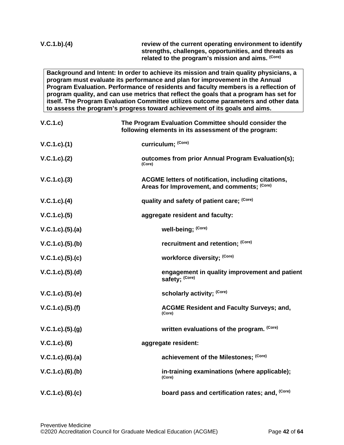# **V.C.1.b).(4) review of the current operating environment to identify strengths, challenges, opportunities, and threats as related to the program's mission and aims. (Core)**

**Background and Intent: In order to achieve its mission and train quality physicians, a program must evaluate its performance and plan for improvement in the Annual Program Evaluation. Performance of residents and faculty members is a reflection of program quality, and can use metrics that reflect the goals that a program has set for itself. The Program Evaluation Committee utilizes outcome parameters and other data to assess the program's progress toward achievement of its goals and aims.**

| V.C.1.c)             | The Program Evaluation Committee should consider the<br>following elements in its assessment of the program: |
|----------------------|--------------------------------------------------------------------------------------------------------------|
| V.C.1.c).(1)         | curriculum; (Core)                                                                                           |
| V.C.1.c). (2)        | outcomes from prior Annual Program Evaluation(s);<br>(Core)                                                  |
| $V.C.1.c).$ (3)      | ACGME letters of notification, including citations,<br>Areas for Improvement, and comments; (Core)           |
| $V.C.1.c).$ (4)      | quality and safety of patient care; (Core)                                                                   |
| V.C.1.c. (5)         | aggregate resident and faculty:                                                                              |
| V.C.1.c. (5). (a)    | well-being; (Core)                                                                                           |
| V.C.1.c). (5). (b)   | recruitment and retention; (Core)                                                                            |
| V.C.1.c. (5). (c)    | workforce diversity; (Core)                                                                                  |
| V.C.1.c. (5). (d)    | engagement in quality improvement and patient<br>safety; (Core)                                              |
| $V.C.1.c).$ (5). (e) | scholarly activity; (Core)                                                                                   |
| $V.C.1.c).$ (5).(f)  | <b>ACGME Resident and Faculty Surveys; and,</b><br>(Core)                                                    |
| V.C.1.c. (5). (g)    | written evaluations of the program. (Core)                                                                   |
| $V.C.1.c.$ (6)       | aggregate resident:                                                                                          |
| V.C.1.c).(6).(a)     | achievement of the Milestones; (Core)                                                                        |
| $V.C.1.c.$ (6).(b)   | in-training examinations (where applicable);<br>(Core)                                                       |
| $V.C.1.c.$ (6).(c)   | board pass and certification rates; and, (Core)                                                              |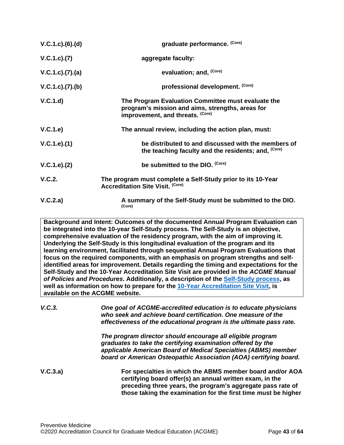| $V.C.1.c.$ (6).(d) | graduate performance. (Core)                                                                                                               |
|--------------------|--------------------------------------------------------------------------------------------------------------------------------------------|
| V.C.1.c). (7)      | aggregate faculty:                                                                                                                         |
| V.C.1.c. (7). (a)  | evaluation; and, (Core)                                                                                                                    |
| V.C.1.c. (7). (b)  | professional development. (Core)                                                                                                           |
| V.C.1.d)           | The Program Evaluation Committee must evaluate the<br>program's mission and aims, strengths, areas for<br>improvement, and threats. (Core) |
| V.C.1.e)           | The annual review, including the action plan, must:                                                                                        |
| V.C.1.e).(1)       | be distributed to and discussed with the members of<br>the teaching faculty and the residents; and, (Core)                                 |
| V.C.1.e). (2)      | be submitted to the DIO. (Core)                                                                                                            |
| V.C.2.             | The program must complete a Self-Study prior to its 10-Year<br><b>Accreditation Site Visit. (Core)</b>                                     |
| V.C.2.a)           | A summary of the Self-Study must be submitted to the DIO.<br>(Core)                                                                        |

**Background and Intent: Outcomes of the documented Annual Program Evaluation can be integrated into the 10-year Self-Study process. The Self-Study is an objective, comprehensive evaluation of the residency program, with the aim of improving it. Underlying the Self-Study is this longitudinal evaluation of the program and its learning environment, facilitated through sequential Annual Program Evaluations that focus on the required components, with an emphasis on program strengths and selfidentified areas for improvement. Details regarding the timing and expectations for the Self-Study and the 10-Year Accreditation Site Visit are provided in the** *ACGME Manual of Policies and Procedures***. Additionally, a description of the [Self-Study process,](http://acgme.org/What-We-Do/Accreditation/Self-Study) as well as information on how to prepare for the [10-Year Accreditation Site Visit,](http://www.acgme.org/What-We-Do/Accreditation/Site-Visit/Eight-Steps-to-Prepare-for-the-10-Year-Accreditation-Site-Visit) is available on the ACGME website.**

*V.C.3. One goal of ACGME-accredited education is to educate physicians who seek and achieve board certification. One measure of the effectiveness of the educational program is the ultimate pass rate.*

> *The program director should encourage all eligible program graduates to take the certifying examination offered by the applicable American Board of Medical Specialties (ABMS) member board or American Osteopathic Association (AOA) certifying board.*

**V.C.3.a) For specialties in which the ABMS member board and/or AOA certifying board offer(s) an annual written exam, in the preceding three years, the program's aggregate pass rate of those taking the examination for the first time must be higher**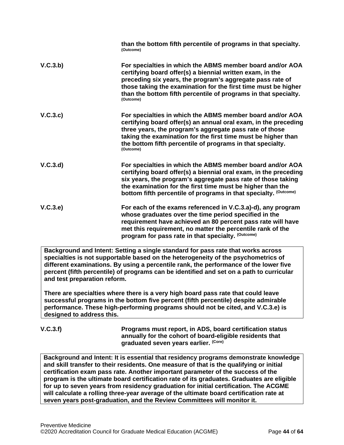|          | than the bottom fifth percentile of programs in that specialty.<br>(Outcome)                                                                                                                                                                                                                                                          |
|----------|---------------------------------------------------------------------------------------------------------------------------------------------------------------------------------------------------------------------------------------------------------------------------------------------------------------------------------------|
| V.C.3.b) | For specialties in which the ABMS member board and/or AOA<br>certifying board offer(s) a biennial written exam, in the<br>preceding six years, the program's aggregate pass rate of<br>those taking the examination for the first time must be higher<br>than the bottom fifth percentile of programs in that specialty.<br>(Outcome) |
| V.C.3.c) | For specialties in which the ABMS member board and/or AOA<br>certifying board offer(s) an annual oral exam, in the preceding<br>three years, the program's aggregate pass rate of those<br>taking the examination for the first time must be higher than<br>the bottom fifth percentile of programs in that specialty.<br>(Outcome)   |
| V.C.3.d  | For specialties in which the ABMS member board and/or AOA<br>certifying board offer(s) a biennial oral exam, in the preceding<br>six years, the program's aggregate pass rate of those taking<br>the examination for the first time must be higher than the<br>bottom fifth percentile of programs in that specialty. (Outcome)       |
| V.C.3.e) | For each of the exams referenced in V.C.3.a)-d), any program<br>whose graduates over the time period specified in the<br>requirement have achieved an 80 percent pass rate will have<br>met this requirement, no matter the percentile rank of the<br>program for pass rate in that specialty. (Outcome)                              |
|          | Background and Intent: Setting a single standard for pass rate that works across                                                                                                                                                                                                                                                      |

**specialties is not supportable based on the heterogeneity of the psychometrics of different examinations. By using a percentile rank, the performance of the lower five percent (fifth percentile) of programs can be identified and set on a path to curricular and test preparation reform.**

**There are specialties where there is a very high board pass rate that could leave successful programs in the bottom five percent (fifth percentile) despite admirable performance. These high-performing programs should not be cited, and V.C.3.e) is designed to address this.**

**V.C.3.f) Programs must report, in ADS, board certification status annually for the cohort of board-eligible residents that graduated seven years earlier. (Core)**

**Background and Intent: It is essential that residency programs demonstrate knowledge and skill transfer to their residents. One measure of that is the qualifying or initial certification exam pass rate. Another important parameter of the success of the program is the ultimate board certification rate of its graduates. Graduates are eligible for up to seven years from residency graduation for initial certification. The ACGME will calculate a rolling three-year average of the ultimate board certification rate at seven years post-graduation, and the Review Committees will monitor it.**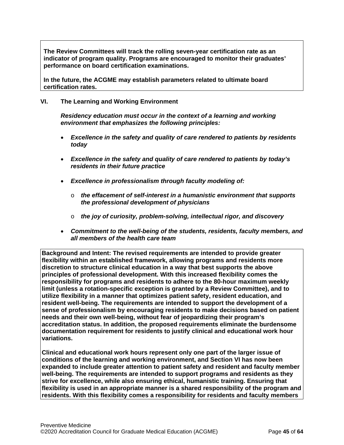**The Review Committees will track the rolling seven-year certification rate as an indicator of program quality. Programs are encouraged to monitor their graduates' performance on board certification examinations.**

**In the future, the ACGME may establish parameters related to ultimate board certification rates.**

#### <span id="page-44-0"></span>**VI. The Learning and Working Environment**

*Residency education must occur in the context of a learning and working environment that emphasizes the following principles:*

- *Excellence in the safety and quality of care rendered to patients by residents today*
- *Excellence in the safety and quality of care rendered to patients by today's residents in their future practice*
- *Excellence in professionalism through faculty modeling of:*
	- o *the effacement of self-interest in a humanistic environment that supports the professional development of physicians*
	- o *the joy of curiosity, problem-solving, intellectual rigor, and discovery*
- *Commitment to the well-being of the students, residents, faculty members, and all members of the health care team*

**Background and Intent: The revised requirements are intended to provide greater flexibility within an established framework, allowing programs and residents more discretion to structure clinical education in a way that best supports the above principles of professional development. With this increased flexibility comes the responsibility for programs and residents to adhere to the 80-hour maximum weekly limit (unless a rotation-specific exception is granted by a Review Committee), and to utilize flexibility in a manner that optimizes patient safety, resident education, and resident well-being. The requirements are intended to support the development of a sense of professionalism by encouraging residents to make decisions based on patient needs and their own well-being, without fear of jeopardizing their program's accreditation status. In addition, the proposed requirements eliminate the burdensome documentation requirement for residents to justify clinical and educational work hour variations.**

**Clinical and educational work hours represent only one part of the larger issue of conditions of the learning and working environment, and Section VI has now been expanded to include greater attention to patient safety and resident and faculty member well-being. The requirements are intended to support programs and residents as they strive for excellence, while also ensuring ethical, humanistic training. Ensuring that flexibility is used in an appropriate manner is a shared responsibility of the program and residents. With this flexibility comes a responsibility for residents and faculty members**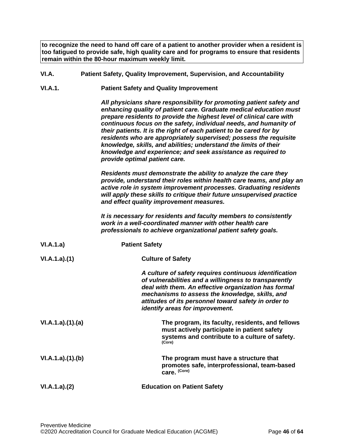**to recognize the need to hand off care of a patient to another provider when a resident is too fatigued to provide safe, high quality care and for programs to ensure that residents remain within the 80-hour maximum weekly limit.**

- <span id="page-45-0"></span>**VI.A. Patient Safety, Quality Improvement, Supervision, and Accountability**
- **VI.A.1. Patient Safety and Quality Improvement**

*All physicians share responsibility for promoting patient safety and enhancing quality of patient care. Graduate medical education must prepare residents to provide the highest level of clinical care with continuous focus on the safety, individual needs, and humanity of their patients. It is the right of each patient to be cared for by residents who are appropriately supervised; possess the requisite knowledge, skills, and abilities; understand the limits of their knowledge and experience; and seek assistance as required to provide optimal patient care.*

*Residents must demonstrate the ability to analyze the care they provide, understand their roles within health care teams, and play an active role in system improvement processes. Graduating residents will apply these skills to critique their future unsupervised practice and effect quality improvement measures.*

*It is necessary for residents and faculty members to consistently work in a well-coordinated manner with other health care professionals to achieve organizational patient safety goals.*

| VI.A.1.a)       | <b>Patient Safety</b>                                                                                                                                                                                                                                                                                                 |
|-----------------|-----------------------------------------------------------------------------------------------------------------------------------------------------------------------------------------------------------------------------------------------------------------------------------------------------------------------|
| VI.A.1.a)(1)    | <b>Culture of Safety</b>                                                                                                                                                                                                                                                                                              |
|                 | A culture of safety requires continuous identification<br>of vulnerabilities and a willingness to transparently<br>deal with them. An effective organization has formal<br>mechanisms to assess the knowledge, skills, and<br>attitudes of its personnel toward safety in order to<br>identify areas for improvement. |
| VI.A.1.a)(1)(a) | The program, its faculty, residents, and fellows<br>must actively participate in patient safety<br>systems and contribute to a culture of safety.<br>(Core)                                                                                                                                                           |
| VI.A.1.a)(1)(b) | The program must have a structure that<br>promotes safe, interprofessional, team-based<br>care. (Core)                                                                                                                                                                                                                |
| VI.A.1.a)(2)    | <b>Education on Patient Safety</b>                                                                                                                                                                                                                                                                                    |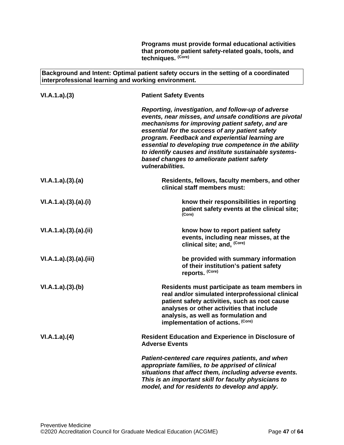**Programs must provide formal educational activities that promote patient safety-related goals, tools, and techniques. (Core)**

**Background and Intent: Optimal patient safety occurs in the setting of a coordinated interprofessional learning and working environment.**

| VI.A.1.a)(3)         | <b>Patient Safety Events</b>                                                                                                                                                                                                                                                                                                                                                                                                                                |
|----------------------|-------------------------------------------------------------------------------------------------------------------------------------------------------------------------------------------------------------------------------------------------------------------------------------------------------------------------------------------------------------------------------------------------------------------------------------------------------------|
|                      | Reporting, investigation, and follow-up of adverse<br>events, near misses, and unsafe conditions are pivotal<br>mechanisms for improving patient safety, and are<br>essential for the success of any patient safety<br>program. Feedback and experiential learning are<br>essential to developing true competence in the ability<br>to identify causes and institute sustainable systems-<br>based changes to ameliorate patient safety<br>vulnerabilities. |
| VI.A.1.a)(3)(a)      | Residents, fellows, faculty members, and other<br>clinical staff members must:                                                                                                                                                                                                                                                                                                                                                                              |
| VI.A.1.a)(3)(a)(i)   | know their responsibilities in reporting<br>patient safety events at the clinical site;<br>(Core)                                                                                                                                                                                                                                                                                                                                                           |
| VI.A.1.a)(3)(a)(ii)  | know how to report patient safety<br>events, including near misses, at the<br>clinical site; and, (Core)                                                                                                                                                                                                                                                                                                                                                    |
| VI.A.1.a)(3)(a)(iii) | be provided with summary information<br>of their institution's patient safety<br>reports. (Core)                                                                                                                                                                                                                                                                                                                                                            |
| VI.A.1.a)(3)(b)      | Residents must participate as team members in<br>real and/or simulated interprofessional clinical<br>patient safety activities, such as root cause<br>analyses or other activities that include<br>analysis, as well as formulation and<br>implementation of actions. (Core)                                                                                                                                                                                |
| VI.A.1.a)(4)         | <b>Resident Education and Experience in Disclosure of</b><br><b>Adverse Events</b>                                                                                                                                                                                                                                                                                                                                                                          |
|                      | Patient-centered care requires patients, and when<br>appropriate families, to be apprised of clinical<br>situations that affect them, including adverse events.<br>This is an important skill for faculty physicians to<br>model, and for residents to develop and apply.                                                                                                                                                                                   |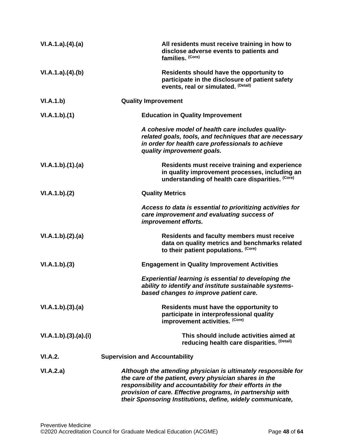| VI.A.1.a)(4)(a)      | All residents must receive training in how to<br>disclose adverse events to patients and<br>families. (Core)                                                                                                                                                                                                       |
|----------------------|--------------------------------------------------------------------------------------------------------------------------------------------------------------------------------------------------------------------------------------------------------------------------------------------------------------------|
| VI.A.1.a)(4)(b)      | Residents should have the opportunity to<br>participate in the disclosure of patient safety<br>events, real or simulated. (Detail)                                                                                                                                                                                 |
| VI.A.1.b)            | <b>Quality Improvement</b>                                                                                                                                                                                                                                                                                         |
| VI.A.1.b)(1)         | <b>Education in Quality Improvement</b>                                                                                                                                                                                                                                                                            |
|                      | A cohesive model of health care includes quality-<br>related goals, tools, and techniques that are necessary<br>in order for health care professionals to achieve<br>quality improvement goals.                                                                                                                    |
| VI.A.1.b)(1)(a)      | Residents must receive training and experience<br>in quality improvement processes, including an<br>understanding of health care disparities. (Core)                                                                                                                                                               |
| VI.A.1.b)(2)         | <b>Quality Metrics</b>                                                                                                                                                                                                                                                                                             |
|                      | Access to data is essential to prioritizing activities for<br>care improvement and evaluating success of<br>improvement efforts.                                                                                                                                                                                   |
| VI.A.1.b)(2).(a)     | <b>Residents and faculty members must receive</b><br>data on quality metrics and benchmarks related<br>to their patient populations. (Core)                                                                                                                                                                        |
| VI.A.1.b)(3)         | <b>Engagement in Quality Improvement Activities</b>                                                                                                                                                                                                                                                                |
|                      | <b>Experiential learning is essential to developing the</b><br>ability to identify and institute sustainable systems-<br>based changes to improve patient care.                                                                                                                                                    |
| VI.A.1.b)(3).(a)     | Residents must have the opportunity to<br>participate in interprofessional quality<br>improvement activities. (Core)                                                                                                                                                                                               |
| VI.A.1.b)(3).(a).(i) | This should include activities aimed at<br>reducing health care disparities. (Detail)                                                                                                                                                                                                                              |
| <b>VI.A.2.</b>       | <b>Supervision and Accountability</b>                                                                                                                                                                                                                                                                              |
| VI.A.2.a)            | Although the attending physician is ultimately responsible for<br>the care of the patient, every physician shares in the<br>responsibility and accountability for their efforts in the<br>provision of care. Effective programs, in partnership with<br>their Sponsoring Institutions, define, widely communicate, |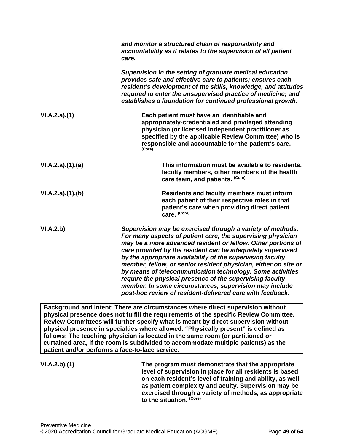|                                                 | and monitor a structured chain of responsibility and<br>accountability as it relates to the supervision of all patient<br>care.                                                                                                                                                                                                                                                                                                                                                                                                                                                                                                          |
|-------------------------------------------------|------------------------------------------------------------------------------------------------------------------------------------------------------------------------------------------------------------------------------------------------------------------------------------------------------------------------------------------------------------------------------------------------------------------------------------------------------------------------------------------------------------------------------------------------------------------------------------------------------------------------------------------|
|                                                 | Supervision in the setting of graduate medical education<br>provides safe and effective care to patients; ensures each<br>resident's development of the skills, knowledge, and attitudes<br>required to enter the unsupervised practice of medicine; and<br>establishes a foundation for continued professional growth.                                                                                                                                                                                                                                                                                                                  |
| VI.A.2.a)(1)                                    | Each patient must have an identifiable and<br>appropriately-credentialed and privileged attending<br>physician (or licensed independent practitioner as<br>specified by the applicable Review Committee) who is<br>responsible and accountable for the patient's care.<br>(Core)                                                                                                                                                                                                                                                                                                                                                         |
| VI.A.2.a)(1)(a)                                 | This information must be available to residents,<br>faculty members, other members of the health<br>care team, and patients. (Core)                                                                                                                                                                                                                                                                                                                                                                                                                                                                                                      |
| VI.A.2.a)(1)(b)                                 | <b>Residents and faculty members must inform</b><br>each patient of their respective roles in that<br>patient's care when providing direct patient<br>care. (Core)                                                                                                                                                                                                                                                                                                                                                                                                                                                                       |
| VI.A.2.b)                                       | Supervision may be exercised through a variety of methods.<br>For many aspects of patient care, the supervising physician<br>may be a more advanced resident or fellow. Other portions of<br>care provided by the resident can be adequately supervised<br>by the appropriate availability of the supervising faculty<br>member, fellow, or senior resident physician, either on site or<br>by means of telecommunication technology. Some activities<br>require the physical presence of the supervising faculty<br>member. In some circumstances, supervision may include<br>post-hoc review of resident-delivered care with feedback. |
| patient and/or performs a face-to-face service. | Background and Intent: There are circumstances where direct supervision without<br>physical presence does not fulfill the requirements of the specific Review Committee.<br>Review Committees will further specify what is meant by direct supervision without<br>physical presence in specialties where allowed. "Physically present" is defined as<br>follows: The teaching physician is located in the same room (or partitioned or<br>curtained area, if the room is subdivided to accommodate multiple patients) as the                                                                                                             |
| VI.A.2.b)(1)                                    | The program must demonstrate that the appropriate<br>level of supervision in place for all residents is based<br>on each resident's level of training and ability, as well<br>as patient complexity and acuity. Supervision may be<br>exercised through a variety of methods, as appropriate<br>to the situation. (Core)                                                                                                                                                                                                                                                                                                                 |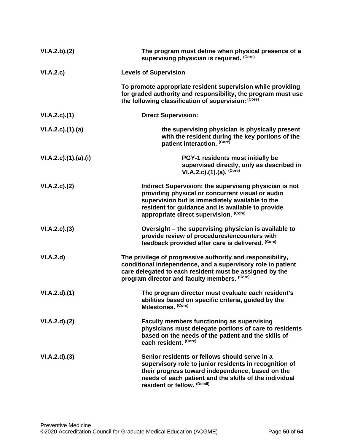| VI.A.2.b)(2)          | The program must define when physical presence of a<br>supervising physician is required. (Core)                                                                                                                                                             |
|-----------------------|--------------------------------------------------------------------------------------------------------------------------------------------------------------------------------------------------------------------------------------------------------------|
| VI.A.2.c)             | <b>Levels of Supervision</b>                                                                                                                                                                                                                                 |
|                       | To promote appropriate resident supervision while providing<br>for graded authority and responsibility, the program must use<br>the following classification of supervision: (Core)                                                                          |
| VI.A.2.c.(1)          | <b>Direct Supervision:</b>                                                                                                                                                                                                                                   |
| VI.A.2.c)(1).(a)      | the supervising physician is physically present<br>with the resident during the key portions of the<br>patient interaction. (Core)                                                                                                                           |
| VI.A.2.c).(1).(a).(i) | PGY-1 residents must initially be<br>supervised directly, only as described in<br>VI.A.2.c).(1).(a). $(Core)$                                                                                                                                                |
| VI.A.2.c.2()          | Indirect Supervision: the supervising physician is not<br>providing physical or concurrent visual or audio<br>supervision but is immediately available to the<br>resident for guidance and is available to provide<br>appropriate direct supervision. (Core) |
| VI.A.2.c.(3)          | Oversight - the supervising physician is available to<br>provide review of procedures/encounters with<br>feedback provided after care is delivered. (Core)                                                                                                   |
| VI.A.2.d              | The privilege of progressive authority and responsibility,<br>conditional independence, and a supervisory role in patient<br>care delegated to each resident must be assigned by the<br>program director and faculty members. (Core)                         |
| VI.A.2.d)(1)          | The program director must evaluate each resident's<br>abilities based on specific criteria, guided by the<br>Milestones. (Core)                                                                                                                              |
| VI.A.2.d)(2)          | <b>Faculty members functioning as supervising</b><br>physicians must delegate portions of care to residents<br>based on the needs of the patient and the skills of<br>each resident. (Core)                                                                  |
| VI.A.2.d)(3)          | Senior residents or fellows should serve in a<br>supervisory role to junior residents in recognition of<br>their progress toward independence, based on the<br>needs of each patient and the skills of the individual<br>resident or fellow. (Detail)        |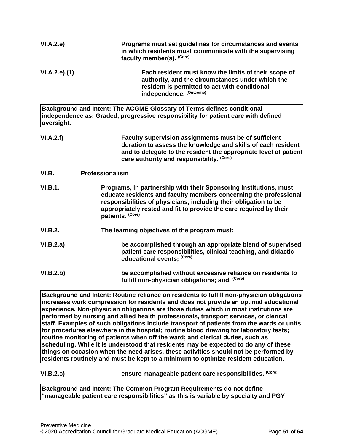| VI.A.2.e       | Programs must set guidelines for circumstances and events<br>in which residents must communicate with the supervising<br>faculty member(s). (Core)                                                                                                                                                   |
|----------------|------------------------------------------------------------------------------------------------------------------------------------------------------------------------------------------------------------------------------------------------------------------------------------------------------|
| VI.A.2.e.(1)   | Each resident must know the limits of their scope of<br>authority, and the circumstances under which the<br>resident is permitted to act with conditional<br>independence. (Outcome)                                                                                                                 |
| oversight.     | Background and Intent: The ACGME Glossary of Terms defines conditional<br>independence as: Graded, progressive responsibility for patient care with defined                                                                                                                                          |
| VI.A.2.f)      | Faculty supervision assignments must be of sufficient<br>duration to assess the knowledge and skills of each resident<br>and to delegate to the resident the appropriate level of patient<br>care authority and responsibility. (Core)                                                               |
| VI.B.          | Professionalism                                                                                                                                                                                                                                                                                      |
| <b>VI.B.1.</b> | Programs, in partnership with their Sponsoring Institutions, must<br>educate residents and faculty members concerning the professional<br>responsibilities of physicians, including their obligation to be<br>appropriately rested and fit to provide the care required by their<br>patients. (Core) |
| <b>VI.B.2.</b> | The learning objectives of the program must:                                                                                                                                                                                                                                                         |
| VI.B.2.a)      | be accomplished through an appropriate blend of supervised<br>patient care responsibilities, clinical teaching, and didactic<br>educational events; (Core)                                                                                                                                           |
| VI.B.2.b)      | be accomplished without excessive reliance on residents to<br>fulfill non-physician obligations; and, (Core)                                                                                                                                                                                         |

<span id="page-50-0"></span>**Background and Intent: Routine reliance on residents to fulfill non-physician obligations increases work compression for residents and does not provide an optimal educational experience. Non-physician obligations are those duties which in most institutions are performed by nursing and allied health professionals, transport services, or clerical staff. Examples of such obligations include transport of patients from the wards or units for procedures elsewhere in the hospital; routine blood drawing for laboratory tests; routine monitoring of patients when off the ward; and clerical duties, such as scheduling. While it is understood that residents may be expected to do any of these things on occasion when the need arises, these activities should not be performed by residents routinely and must be kept to a minimum to optimize resident education.**

**VI.B.2.c) ensure manageable patient care responsibilities. (Core)**

**Background and Intent: The Common Program Requirements do not define "manageable patient care responsibilities" as this is variable by specialty and PGY**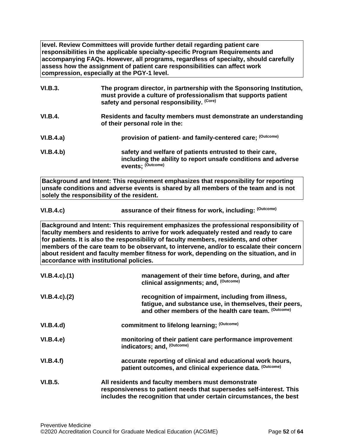**level. Review Committees will provide further detail regarding patient care responsibilities in the applicable specialty-specific Program Requirements and accompanying FAQs. However, all programs, regardless of specialty, should carefully assess how the assignment of patient care responsibilities can affect work compression, especially at the PGY-1 level.**

| VI.B.3.        | The program director, in partnership with the Sponsoring Institution,<br>must provide a culture of professionalism that supports patient<br>safety and personal responsibility. (Core) |
|----------------|----------------------------------------------------------------------------------------------------------------------------------------------------------------------------------------|
| <b>VI.B.4.</b> | Residents and faculty members must demonstrate an understanding<br>of their personal role in the:                                                                                      |
| VI.B.4.a)      | provision of patient- and family-centered care; (Outcome)                                                                                                                              |
| VI.B.4.b)      | safety and welfare of patients entrusted to their care,<br>including the ability to report unsafe conditions and adverse<br>events: (Outcome)                                          |

**Background and Intent: This requirement emphasizes that responsibility for reporting unsafe conditions and adverse events is shared by all members of the team and is not solely the responsibility of the resident.**

| VI.B.4.c) | assurance of their fitness for work, including: (Outcome) |
|-----------|-----------------------------------------------------------|
|-----------|-----------------------------------------------------------|

**Background and Intent: This requirement emphasizes the professional responsibility of faculty members and residents to arrive for work adequately rested and ready to care for patients. It is also the responsibility of faculty members, residents, and other members of the care team to be observant, to intervene, and/or to escalate their concern about resident and faculty member fitness for work, depending on the situation, and in accordance with institutional policies.**

| $VI.B.4.c$ ). $(1)$ | management of their time before, during, and after<br>clinical assignments; and, (Outcome)                                                                                                       |
|---------------------|--------------------------------------------------------------------------------------------------------------------------------------------------------------------------------------------------|
| $VI.B.4.c$ ). $(2)$ | recognition of impairment, including from illness,<br>fatigue, and substance use, in themselves, their peers,<br>and other members of the health care team. (Outcome)                            |
| VI.B.4.d)           | commitment to lifelong learning; (Outcome)                                                                                                                                                       |
| VI.B.4.e            | monitoring of their patient care performance improvement<br>indicators; and, (Outcome)                                                                                                           |
| VI.B.4.f)           | accurate reporting of clinical and educational work hours,<br>patient outcomes, and clinical experience data. (Outcome)                                                                          |
| VI.B.5.             | All residents and faculty members must demonstrate<br>responsiveness to patient needs that supersedes self-interest. This<br>includes the recognition that under certain circumstances, the best |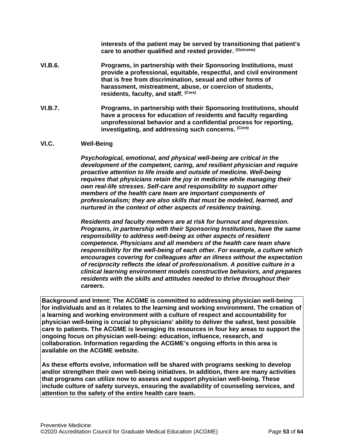**interests of the patient may be served by transitioning that patient's care to another qualified and rested provider. (Outcome)**

- **VI.B.6. Programs, in partnership with their Sponsoring Institutions, must provide a professional, equitable, respectful, and civil environment that is free from discrimination, sexual and other forms of harassment, mistreatment, abuse, or coercion of students, residents, faculty, and staff. (Core)**
- **VI.B.7. Programs, in partnership with their Sponsoring Institutions, should have a process for education of residents and faculty regarding unprofessional behavior and a confidential process for reporting, investigating, and addressing such concerns. (Core)**

#### <span id="page-52-0"></span>**VI.C. Well-Being**

*Psychological, emotional, and physical well-being are critical in the development of the competent, caring, and resilient physician and require proactive attention to life inside and outside of medicine. Well-being requires that physicians retain the joy in medicine while managing their own real-life stresses. Self-care and responsibility to support other members of the health care team are important components of professionalism; they are also skills that must be modeled, learned, and nurtured in the context of other aspects of residency training.*

*Residents and faculty members are at risk for burnout and depression. Programs, in partnership with their Sponsoring Institutions, have the same responsibility to address well-being as other aspects of resident competence. Physicians and all members of the health care team share responsibility for the well-being of each other. For example, a culture which encourages covering for colleagues after an illness without the expectation of reciprocity reflects the ideal of professionalism. A positive culture in a clinical learning environment models constructive behaviors, and prepares residents with the skills and attitudes needed to thrive throughout their careers.*

**Background and Intent: The ACGME is committed to addressing physician well-being for individuals and as it relates to the learning and working environment. The creation of a learning and working environment with a culture of respect and accountability for physician well-being is crucial to physicians' ability to deliver the safest, best possible care to patients. The ACGME is leveraging its resources in four key areas to support the ongoing focus on physician well-being: education, influence, research, and collaboration. Information regarding the ACGME's ongoing efforts in this area is available on the ACGME website.**

**As these efforts evolve, information will be shared with programs seeking to develop and/or strengthen their own well-being initiatives. In addition, there are many activities that programs can utilize now to assess and support physician well-being. These include culture of safety surveys, ensuring the availability of counseling services, and attention to the safety of the entire health care team.**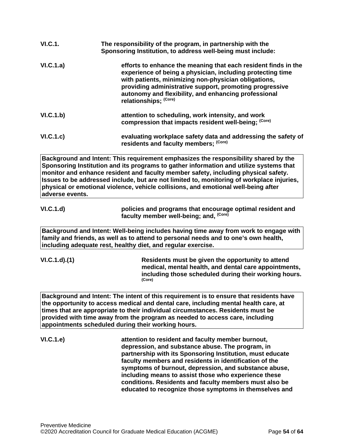| VI.C.1.   | The responsibility of the program, in partnership with the<br>Sponsoring Institution, to address well-being must include:                                                                                                                                                                                                        |
|-----------|----------------------------------------------------------------------------------------------------------------------------------------------------------------------------------------------------------------------------------------------------------------------------------------------------------------------------------|
| VI.C.1.a) | efforts to enhance the meaning that each resident finds in the<br>experience of being a physician, including protecting time<br>with patients, minimizing non-physician obligations,<br>providing administrative support, promoting progressive<br>autonomy and flexibility, and enhancing professional<br>relationships; (Core) |
| VI.C.1.b) | attention to scheduling, work intensity, and work<br>compression that impacts resident well-being; (Core)                                                                                                                                                                                                                        |
| VI.C.1.c) | evaluating workplace safety data and addressing the safety of<br>residents and faculty members; (Core)                                                                                                                                                                                                                           |

**Background and Intent: This requirement emphasizes the responsibility shared by the Sponsoring Institution and its programs to gather information and utilize systems that monitor and enhance resident and faculty member safety, including physical safety. Issues to be addressed include, but are not limited to, monitoring of workplace injuries, physical or emotional violence, vehicle collisions, and emotional well-being after adverse events.**

**VI.C.1.d) policies and programs that encourage optimal resident and faculty member well-being; and, (Core)**

**Background and Intent: Well-being includes having time away from work to engage with family and friends, as well as to attend to personal needs and to one's own health, including adequate rest, healthy diet, and regular exercise.** 

**VI.C.1.d).(1) Residents must be given the opportunity to attend medical, mental health, and dental care appointments, including those scheduled during their working hours. (Core)**

**Background and Intent: The intent of this requirement is to ensure that residents have the opportunity to access medical and dental care, including mental health care, at times that are appropriate to their individual circumstances. Residents must be provided with time away from the program as needed to access care, including appointments scheduled during their working hours.**

**VI.C.1.e) attention to resident and faculty member burnout, depression, and substance abuse. The program, in partnership with its Sponsoring Institution, must educate faculty members and residents in identification of the symptoms of burnout, depression, and substance abuse, including means to assist those who experience these conditions. Residents and faculty members must also be educated to recognize those symptoms in themselves and**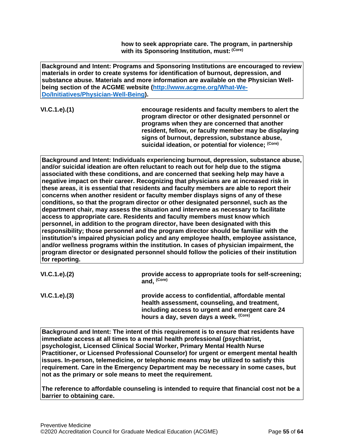**how to seek appropriate care. The program, in partnership with its Sponsoring Institution, must: (Core)**

**Background and Intent: Programs and Sponsoring Institutions are encouraged to review materials in order to create systems for identification of burnout, depression, and substance abuse. Materials and more information are available on the Physician Wellbeing section of the ACGME website [\(http://www.acgme.org/What-We-](http://www.acgme.org/What-We-Do/Initiatives/Physician-Well-Being)[Do/Initiatives/Physician-Well-Being\)](http://www.acgme.org/What-We-Do/Initiatives/Physician-Well-Being).**

**VI.C.1.e).(1) encourage residents and faculty members to alert the program director or other designated personnel or programs when they are concerned that another resident, fellow, or faculty member may be displaying signs of burnout, depression, substance abuse, suicidal ideation, or potential for violence; (Core)**

**Background and Intent: Individuals experiencing burnout, depression, substance abuse, and/or suicidal ideation are often reluctant to reach out for help due to the stigma associated with these conditions, and are concerned that seeking help may have a negative impact on their career. Recognizing that physicians are at increased risk in these areas, it is essential that residents and faculty members are able to report their concerns when another resident or faculty member displays signs of any of these conditions, so that the program director or other designated personnel, such as the department chair, may assess the situation and intervene as necessary to facilitate access to appropriate care. Residents and faculty members must know which personnel, in addition to the program director, have been designated with this responsibility; those personnel and the program director should be familiar with the institution's impaired physician policy and any employee health, employee assistance, and/or wellness programs within the institution. In cases of physician impairment, the program director or designated personnel should follow the policies of their institution for reporting.**

| VI.C.1.e). (2) | provide access to appropriate tools for self-screening;<br>and, (Core)                                                                                                                          |
|----------------|-------------------------------------------------------------------------------------------------------------------------------------------------------------------------------------------------|
| VI.C.1.e). (3) | provide access to confidential, affordable mental<br>health assessment, counseling, and treatment,<br>including access to urgent and emergent care 24<br>hours a day, seven days a week. (Core) |

**Background and Intent: The intent of this requirement is to ensure that residents have immediate access at all times to a mental health professional (psychiatrist, psychologist, Licensed Clinical Social Worker, Primary Mental Health Nurse Practitioner, or Licensed Professional Counselor) for urgent or emergent mental health issues. In-person, telemedicine, or telephonic means may be utilized to satisfy this requirement. Care in the Emergency Department may be necessary in some cases, but not as the primary or sole means to meet the requirement.**

**The reference to affordable counseling is intended to require that financial cost not be a barrier to obtaining care.**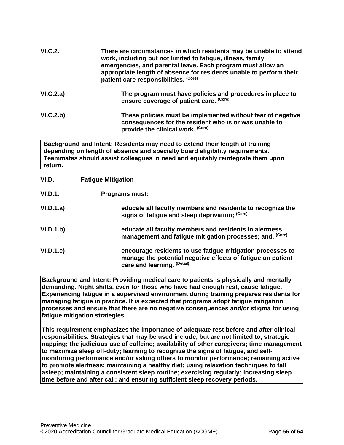| <b>VI.C.2.</b> | There are circumstances in which residents may be unable to attend<br>work, including but not limited to fatigue, illness, family<br>emergencies, and parental leave. Each program must allow an<br>appropriate length of absence for residents unable to perform their<br>patient care responsibilities. (Core) |
|----------------|------------------------------------------------------------------------------------------------------------------------------------------------------------------------------------------------------------------------------------------------------------------------------------------------------------------|
| VI.C.2.a)      | The program must have policies and procedures in place to<br>ensure coverage of patient care. (Core)                                                                                                                                                                                                             |
| VI.C.2.b)      | These policies must be implemented without fear of negative<br>consequences for the resident who is or was unable to<br>provide the clinical work. (Core)                                                                                                                                                        |
| return.        | Background and Intent: Residents may need to extend their length of training<br>depending on length of absence and specialty board eligibility requirements.<br>Teammates should assist colleagues in need and equitably reintegrate them upon                                                                   |
| VI.D.          | <b>Fatigue Mitigation</b>                                                                                                                                                                                                                                                                                        |
| <b>VI.D.1.</b> | <b>Programs must:</b>                                                                                                                                                                                                                                                                                            |
| VI.D.1.a)      | educate all faculty members and residents to recognize the<br>signs of fatigue and sleep deprivation; (Core)                                                                                                                                                                                                     |
| VI.D.1.b)      | educate all faculty members and residents in alertness<br>management and fatigue mitigation processes; and, <sup>(Core)</sup>                                                                                                                                                                                    |

<span id="page-55-0"></span>**VI.D.1.c) encourage residents to use fatigue mitigation processes to manage the potential negative effects of fatigue on patient care and learning. (Detail)**

**Background and Intent: Providing medical care to patients is physically and mentally demanding. Night shifts, even for those who have had enough rest, cause fatigue. Experiencing fatigue in a supervised environment during training prepares residents for managing fatigue in practice. It is expected that programs adopt fatigue mitigation processes and ensure that there are no negative consequences and/or stigma for using fatigue mitigation strategies.**

**This requirement emphasizes the importance of adequate rest before and after clinical responsibilities. Strategies that may be used include, but are not limited to, strategic napping; the judicious use of caffeine; availability of other caregivers; time management to maximize sleep off-duty; learning to recognize the signs of fatigue, and selfmonitoring performance and/or asking others to monitor performance; remaining active to promote alertness; maintaining a healthy diet; using relaxation techniques to fall asleep; maintaining a consistent sleep routine; exercising regularly; increasing sleep time before and after call; and ensuring sufficient sleep recovery periods.**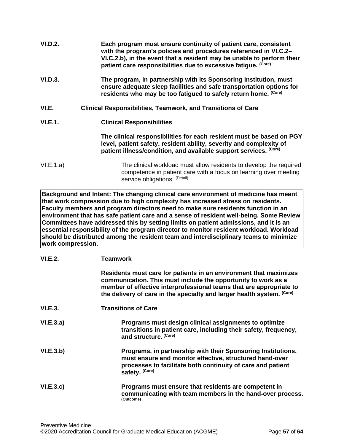<span id="page-56-0"></span>

| VI.D.2.   | Each program must ensure continuity of patient care, consistent<br>with the program's policies and procedures referenced in VI.C.2-<br>VI.C.2.b), in the event that a resident may be unable to perform their<br>patient care responsibilities due to excessive fatigue. (Core) |
|-----------|---------------------------------------------------------------------------------------------------------------------------------------------------------------------------------------------------------------------------------------------------------------------------------|
| VI.D.3.   | The program, in partnership with its Sponsoring Institution, must<br>ensure adequate sleep facilities and safe transportation options for<br>residents who may be too fatigued to safely return home. (Core)                                                                    |
| VI.E.     | <b>Clinical Responsibilities, Teamwork, and Transitions of Care</b>                                                                                                                                                                                                             |
| VI.E.1.   | <b>Clinical Responsibilities</b>                                                                                                                                                                                                                                                |
|           | The clinical responsibilities for each resident must be based on PGY<br>level, patient safety, resident ability, severity and complexity of<br>patient illness/condition, and available support services. (Core)                                                                |
| VI.E.1.a) | The clinical workload must allow residents to develop the required<br>competence in patient care with a focus on learning over meeting<br>service obligations. (Detail)                                                                                                         |

**Background and Intent: The changing clinical care environment of medicine has meant that work compression due to high complexity has increased stress on residents. Faculty members and program directors need to make sure residents function in an environment that has safe patient care and a sense of resident well-being. Some Review Committees have addressed this by setting limits on patient admissions, and it is an essential responsibility of the program director to monitor resident workload. Workload should be distributed among the resident team and interdisciplinary teams to minimize work compression.**

| VI.E.2.   | <b>Teamwork</b>                                                                                                                                                                                                                                                                     |
|-----------|-------------------------------------------------------------------------------------------------------------------------------------------------------------------------------------------------------------------------------------------------------------------------------------|
|           | Residents must care for patients in an environment that maximizes<br>communication. This must include the opportunity to work as a<br>member of effective interprofessional teams that are appropriate to<br>the delivery of care in the specialty and larger health system. (Core) |
| VI.E.3.   | <b>Transitions of Care</b>                                                                                                                                                                                                                                                          |
| VI.E.3.a) | Programs must design clinical assignments to optimize<br>transitions in patient care, including their safety, frequency,<br>and structure. (Core)                                                                                                                                   |
| VI.E.3.b) | Programs, in partnership with their Sponsoring Institutions,<br>must ensure and monitor effective, structured hand-over<br>processes to facilitate both continuity of care and patient<br>safety. (Core)                                                                            |
| VI.E.3.c) | Programs must ensure that residents are competent in<br>communicating with team members in the hand-over process.<br>(Outcome)                                                                                                                                                      |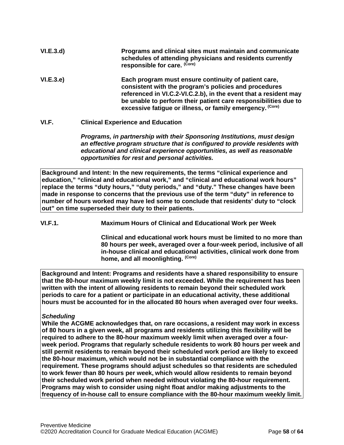| VI.E.3.d) | Programs and clinical sites must maintain and communicate<br>schedules of attending physicians and residents currently<br>responsible for care. (Core)                                                                                                                                                            |
|-----------|-------------------------------------------------------------------------------------------------------------------------------------------------------------------------------------------------------------------------------------------------------------------------------------------------------------------|
| VI.E.3.e) | Each program must ensure continuity of patient care,<br>consistent with the program's policies and procedures<br>referenced in VI.C.2-VI.C.2.b), in the event that a resident may<br>be unable to perform their patient care responsibilities due to<br>excessive fatigue or illness, or family emergency. (Core) |

## <span id="page-57-0"></span>**VI.F. Clinical Experience and Education**

*Programs, in partnership with their Sponsoring Institutions, must design an effective program structure that is configured to provide residents with educational and clinical experience opportunities, as well as reasonable opportunities for rest and personal activities.*

**Background and Intent: In the new requirements, the terms "clinical experience and education," "clinical and educational work," and "clinical and educational work hours" replace the terms "duty hours," "duty periods," and "duty." These changes have been made in response to concerns that the previous use of the term "duty" in reference to number of hours worked may have led some to conclude that residents' duty to "clock out" on time superseded their duty to their patients.**

**VI.F.1. Maximum Hours of Clinical and Educational Work per Week**

**Clinical and educational work hours must be limited to no more than 80 hours per week, averaged over a four-week period, inclusive of all in-house clinical and educational activities, clinical work done from home, and all moonlighting. (Core)**

**Background and Intent: Programs and residents have a shared responsibility to ensure that the 80-hour maximum weekly limit is not exceeded. While the requirement has been written with the intent of allowing residents to remain beyond their scheduled work periods to care for a patient or participate in an educational activity, these additional hours must be accounted for in the allocated 80 hours when averaged over four weeks.**

#### *Scheduling*

**While the ACGME acknowledges that, on rare occasions, a resident may work in excess of 80 hours in a given week, all programs and residents utilizing this flexibility will be required to adhere to the 80-hour maximum weekly limit when averaged over a fourweek period. Programs that regularly schedule residents to work 80 hours per week and still permit residents to remain beyond their scheduled work period are likely to exceed the 80-hour maximum, which would not be in substantial compliance with the requirement. These programs should adjust schedules so that residents are scheduled to work fewer than 80 hours per week, which would allow residents to remain beyond their scheduled work period when needed without violating the 80-hour requirement. Programs may wish to consider using night float and/or making adjustments to the frequency of in-house call to ensure compliance with the 80-hour maximum weekly limit.**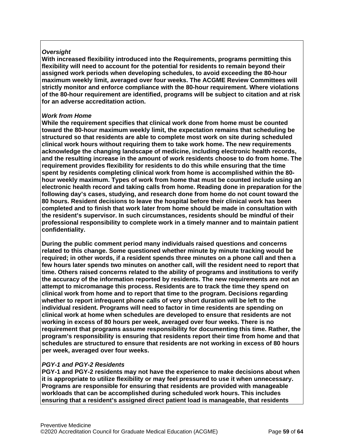## *Oversight*

**With increased flexibility introduced into the Requirements, programs permitting this flexibility will need to account for the potential for residents to remain beyond their assigned work periods when developing schedules, to avoid exceeding the 80-hour maximum weekly limit, averaged over four weeks. The ACGME Review Committees will strictly monitor and enforce compliance with the 80-hour requirement. Where violations of the 80-hour requirement are identified, programs will be subject to citation and at risk for an adverse accreditation action.**

#### *Work from Home*

**While the requirement specifies that clinical work done from home must be counted toward the 80-hour maximum weekly limit, the expectation remains that scheduling be structured so that residents are able to complete most work on site during scheduled clinical work hours without requiring them to take work home. The new requirements acknowledge the changing landscape of medicine, including electronic health records, and the resulting increase in the amount of work residents choose to do from home. The requirement provides flexibility for residents to do this while ensuring that the time spent by residents completing clinical work from home is accomplished within the 80 hour weekly maximum. Types of work from home that must be counted include using an electronic health record and taking calls from home. Reading done in preparation for the following day's cases, studying, and research done from home do not count toward the 80 hours. Resident decisions to leave the hospital before their clinical work has been completed and to finish that work later from home should be made in consultation with the resident's supervisor. In such circumstances, residents should be mindful of their professional responsibility to complete work in a timely manner and to maintain patient confidentiality.**

**During the public comment period many individuals raised questions and concerns related to this change. Some questioned whether minute by minute tracking would be required; in other words, if a resident spends three minutes on a phone call and then a few hours later spends two minutes on another call, will the resident need to report that time. Others raised concerns related to the ability of programs and institutions to verify the accuracy of the information reported by residents. The new requirements are not an attempt to micromanage this process. Residents are to track the time they spend on clinical work from home and to report that time to the program. Decisions regarding whether to report infrequent phone calls of very short duration will be left to the individual resident. Programs will need to factor in time residents are spending on clinical work at home when schedules are developed to ensure that residents are not working in excess of 80 hours per week, averaged over four weeks. There is no requirement that programs assume responsibility for documenting this time. Rather, the program's responsibility is ensuring that residents report their time from home and that schedules are structured to ensure that residents are not working in excess of 80 hours per week, averaged over four weeks.**

#### *PGY-1 and PGY-2 Residents*

**PGY-1 and PGY-2 residents may not have the experience to make decisions about when it is appropriate to utilize flexibility or may feel pressured to use it when unnecessary. Programs are responsible for ensuring that residents are provided with manageable workloads that can be accomplished during scheduled work hours. This includes ensuring that a resident's assigned direct patient load is manageable, that residents**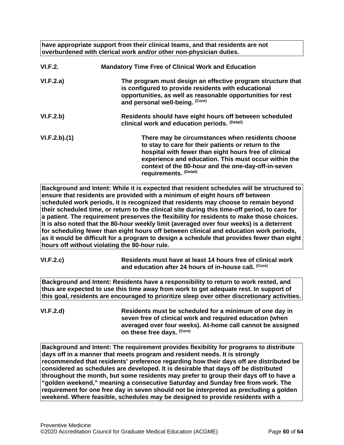**have appropriate support from their clinical teams, and that residents are not overburdened with clerical work and/or other non-physician duties.**

| <b>VI.F.2.</b> | <b>Mandatory Time Free of Clinical Work and Education</b>                                                                                                                                                                                                                                                 |
|----------------|-----------------------------------------------------------------------------------------------------------------------------------------------------------------------------------------------------------------------------------------------------------------------------------------------------------|
| VI.F.2.a)      | The program must design an effective program structure that<br>is configured to provide residents with educational<br>opportunities, as well as reasonable opportunities for rest<br>and personal well-being. (Core)                                                                                      |
| VI.F.2.b)      | Residents should have eight hours off between scheduled<br>clinical work and education periods. (Detail)                                                                                                                                                                                                  |
| VI.F.2.b)(1)   | There may be circumstances when residents choose<br>to stay to care for their patients or return to the<br>hospital with fewer than eight hours free of clinical<br>experience and education. This must occur within the<br>context of the 80-hour and the one-day-off-in-seven<br>requirements. (Detail) |

**Background and Intent: While it is expected that resident schedules will be structured to ensure that residents are provided with a minimum of eight hours off between scheduled work periods, it is recognized that residents may choose to remain beyond their scheduled time, or return to the clinical site during this time-off period, to care for a patient. The requirement preserves the flexibility for residents to make those choices. It is also noted that the 80-hour weekly limit (averaged over four weeks) is a deterrent for scheduling fewer than eight hours off between clinical and education work periods, as it would be difficult for a program to design a schedule that provides fewer than eight hours off without violating the 80-hour rule.**

| VI.F.2.c) | Residents must have at least 14 hours free of clinical work      |
|-----------|------------------------------------------------------------------|
|           | and education after 24 hours of in-house call. <sup>(Core)</sup> |

**Background and Intent: Residents have a responsibility to return to work rested, and thus are expected to use this time away from work to get adequate rest. In support of this goal, residents are encouraged to prioritize sleep over other discretionary activities.**

**VI.F.2.d) Residents must be scheduled for a minimum of one day in seven free of clinical work and required education (when averaged over four weeks). At-home call cannot be assigned on these free days. (Core)**

**Background and Intent: The requirement provides flexibility for programs to distribute days off in a manner that meets program and resident needs. It is strongly recommended that residents' preference regarding how their days off are distributed be considered as schedules are developed. It is desirable that days off be distributed throughout the month, but some residents may prefer to group their days off to have a "golden weekend," meaning a consecutive Saturday and Sunday free from work. The requirement for one free day in seven should not be interpreted as precluding a golden weekend. Where feasible, schedules may be designed to provide residents with a**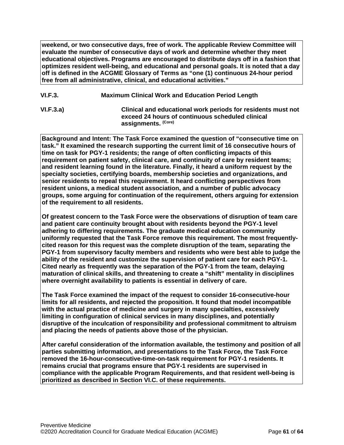**weekend, or two consecutive days, free of work. The applicable Review Committee will evaluate the number of consecutive days of work and determine whether they meet educational objectives. Programs are encouraged to distribute days off in a fashion that optimizes resident well-being, and educational and personal goals. It is noted that a day off is defined in the ACGME Glossary of Terms as "one (1) continuous 24-hour period free from all administrative, clinical, and educational activities."**

- **VI.F.3. Maximum Clinical Work and Education Period Length**
- 

**VI.F.3.a) Clinical and educational work periods for residents must not exceed 24 hours of continuous scheduled clinical assignments. (Core)**

**Background and Intent: The Task Force examined the question of "consecutive time on task." It examined the research supporting the current limit of 16 consecutive hours of time on task for PGY-1 residents; the range of often conflicting impacts of this requirement on patient safety, clinical care, and continuity of care by resident teams; and resident learning found in the literature. Finally, it heard a uniform request by the specialty societies, certifying boards, membership societies and organizations, and senior residents to repeal this requirement. It heard conflicting perspectives from resident unions, a medical student association, and a number of public advocacy groups, some arguing for continuation of the requirement, others arguing for extension of the requirement to all residents.**

**Of greatest concern to the Task Force were the observations of disruption of team care and patient care continuity brought about with residents beyond the PGY-1 level adhering to differing requirements. The graduate medical education community uniformly requested that the Task Force remove this requirement. The most frequentlycited reason for this request was the complete disruption of the team, separating the PGY-1 from supervisory faculty members and residents who were best able to judge the ability of the resident and customize the supervision of patient care for each PGY-1. Cited nearly as frequently was the separation of the PGY-1 from the team, delaying maturation of clinical skills, and threatening to create a "shift" mentality in disciplines where overnight availability to patients is essential in delivery of care.**

**The Task Force examined the impact of the request to consider 16-consecutive-hour limits for all residents, and rejected the proposition. It found that model incompatible with the actual practice of medicine and surgery in many specialties, excessively limiting in configuration of clinical services in many disciplines, and potentially disruptive of the inculcation of responsibility and professional commitment to altruism and placing the needs of patients above those of the physician.**

**After careful consideration of the information available, the testimony and position of all parties submitting information, and presentations to the Task Force, the Task Force removed the 16-hour-consecutive-time-on-task requirement for PGY-1 residents. It remains crucial that programs ensure that PGY-1 residents are supervised in compliance with the applicable Program Requirements, and that resident well-being is prioritized as described in Section VI.C. of these requirements.**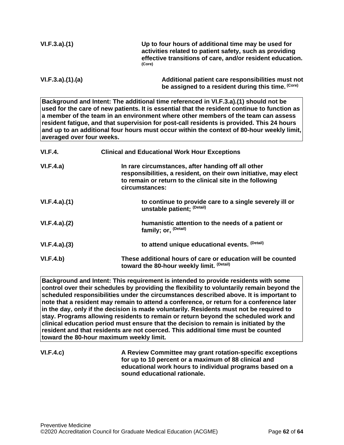| VI.F.3.a)(1) | Up to four hours of additional time may be used for<br>activities related to patient safety, such as providing<br>effective transitions of care, and/or resident education.<br>(Core) |
|--------------|---------------------------------------------------------------------------------------------------------------------------------------------------------------------------------------|
|              |                                                                                                                                                                                       |

**VI.F.3.a).(1).(a) Additional patient care responsibilities must not be assigned to a resident during this time. (Core)**

**Background and Intent: The additional time referenced in VI.F.3.a).(1) should not be used for the care of new patients. It is essential that the resident continue to function as a member of the team in an environment where other members of the team can assess resident fatigue, and that supervision for post-call residents is provided. This 24 hours and up to an additional four hours must occur within the context of 80-hour weekly limit, averaged over four weeks.**

| VI.F.4.      | <b>Clinical and Educational Work Hour Exceptions</b>                                                                                                                                                  |
|--------------|-------------------------------------------------------------------------------------------------------------------------------------------------------------------------------------------------------|
| VI.F.4.a)    | In rare circumstances, after handing off all other<br>responsibilities, a resident, on their own initiative, may elect<br>to remain or return to the clinical site in the following<br>circumstances: |
| VI.F.4.a)(1) | to continue to provide care to a single severely ill or<br>unstable patient; (Detail)                                                                                                                 |
| VI.F.4.a)(2) | humanistic attention to the needs of a patient or<br>family; or, <sup>(Detail)</sup>                                                                                                                  |
| VI.F.4.a)(3) | to attend unique educational events. (Detail)                                                                                                                                                         |
| VI.F.4.b)    | These additional hours of care or education will be counted<br>toward the 80-hour weekly limit. (Detail)                                                                                              |

**Background and Intent: This requirement is intended to provide residents with some control over their schedules by providing the flexibility to voluntarily remain beyond the scheduled responsibilities under the circumstances described above. It is important to note that a resident may remain to attend a conference, or return for a conference later in the day, only if the decision is made voluntarily. Residents must not be required to stay. Programs allowing residents to remain or return beyond the scheduled work and clinical education period must ensure that the decision to remain is initiated by the resident and that residents are not coerced. This additional time must be counted toward the 80-hour maximum weekly limit.**

**VI.F.4.c) A Review Committee may grant rotation-specific exceptions for up to 10 percent or a maximum of 88 clinical and educational work hours to individual programs based on a sound educational rationale.**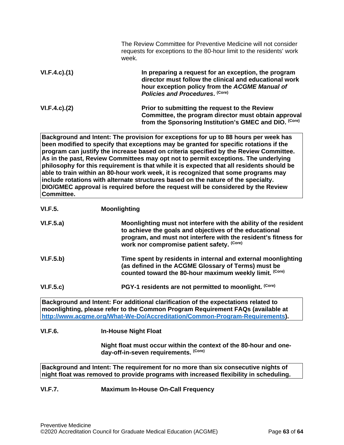|                     | The Review Committee for Preventive Medicine will not consider<br>requests for exceptions to the 80-hour limit to the residents' work<br>week.                                                      |
|---------------------|-----------------------------------------------------------------------------------------------------------------------------------------------------------------------------------------------------|
| $VI.F.4.c$ . $(1)$  | In preparing a request for an exception, the program<br>director must follow the clinical and educational work<br>hour exception policy from the ACGME Manual of<br>Policies and Procedures. (Core) |
| $VI.F.4.c$ ). $(2)$ | Prior to submitting the request to the Review<br>Committee, the program director must obtain approval<br>from the Sponsoring Institution's GMEC and DIO. (Core)                                     |

**Background and Intent: The provision for exceptions for up to 88 hours per week has been modified to specify that exceptions may be granted for specific rotations if the program can justify the increase based on criteria specified by the Review Committee. As in the past, Review Committees may opt not to permit exceptions. The underlying philosophy for this requirement is that while it is expected that all residents should be able to train within an 80-hour work week, it is recognized that some programs may include rotations with alternate structures based on the nature of the specialty. DIO/GMEC approval is required before the request will be considered by the Review Committee.**

| VI.F.5.   | <b>Moonlighting</b>                                                                                                                                                                                                                         |
|-----------|---------------------------------------------------------------------------------------------------------------------------------------------------------------------------------------------------------------------------------------------|
| VI.F.5.a) | Moonlighting must not interfere with the ability of the resident<br>to achieve the goals and objectives of the educational<br>program, and must not interfere with the resident's fitness for<br>work nor compromise patient safety. (Core) |
| VI.F.5.b) | Time spent by residents in internal and external moonlighting<br>(as defined in the ACGME Glossary of Terms) must be<br>counted toward the 80-hour maximum weekly limit. (Core)                                                             |
| VI.F.5.c) | PGY-1 residents are not permitted to moonlight. (Core)                                                                                                                                                                                      |

**Background and Intent: For additional clarification of the expectations related to moonlighting, please refer to the Common Program Requirement FAQs (available at [http://www.acgme.org/What-We-Do/Accreditation/Common-Program-Requirements\)](http://www.acgme.org/What-We-Do/Accreditation/Common-Program-Requirements).**

#### **VI.F.6. In-House Night Float**

**Night float must occur within the context of the 80-hour and oneday-off-in-seven requirements. (Core)**

**Background and Intent: The requirement for no more than six consecutive nights of night float was removed to provide programs with increased flexibility in scheduling.**

#### **VI.F.7. Maximum In-House On-Call Frequency**